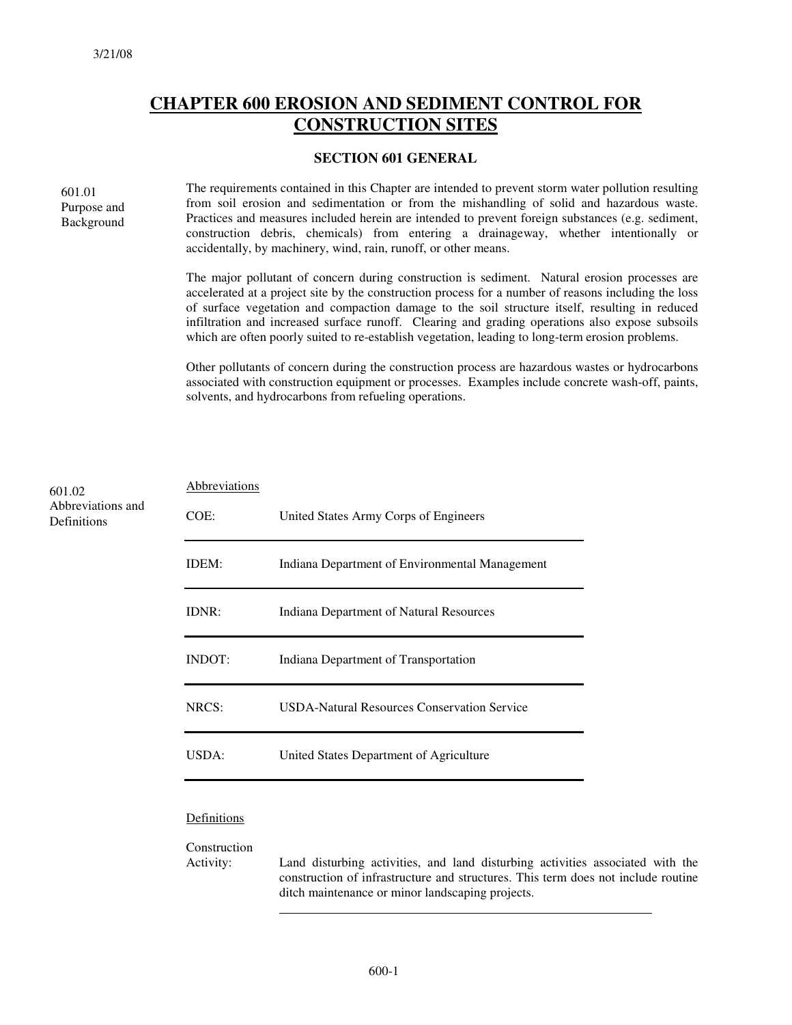### **CHAPTER 600 EROSION AND SEDIMENT CONTROL FOR CONSTRUCTION SITES**

#### **SECTION 601 GENERAL**

601.01 Purpose and Background

The requirements contained in this Chapter are intended to prevent storm water pollution resulting from soil erosion and sedimentation or from the mishandling of solid and hazardous waste. Practices and measures included herein are intended to prevent foreign substances (e.g. sediment, construction debris, chemicals) from entering a drainageway, whether intentionally or accidentally, by machinery, wind, rain, runoff, or other means.

The major pollutant of concern during construction is sediment. Natural erosion processes are accelerated at a project site by the construction process for a number of reasons including the loss of surface vegetation and compaction damage to the soil structure itself, resulting in reduced infiltration and increased surface runoff. Clearing and grading operations also expose subsoils which are often poorly suited to re-establish vegetation, leading to long-term erosion problems.

Other pollutants of concern during the construction process are hazardous wastes or hydrocarbons associated with construction equipment or processes. Examples include concrete wash-off, paints, solvents, and hydrocarbons from refueling operations.

| 601.02                           | Abbreviations |                                                    |
|----------------------------------|---------------|----------------------------------------------------|
| Abbreviations and<br>Definitions | COE:          | United States Army Corps of Engineers              |
|                                  | IDEM:         | Indiana Department of Environmental Management     |
|                                  | IDNR:         | Indiana Department of Natural Resources            |
|                                  | INDOT:        | Indiana Department of Transportation               |
|                                  | NRCS:         | <b>USDA-Natural Resources Conservation Service</b> |
|                                  | USDA:         | United States Department of Agriculture            |
|                                  | Definitions   |                                                    |

Construction

Activity: Land disturbing activities, and land disturbing activities associated with the construction of infrastructure and structures. This term does not include routine ditch maintenance or minor landscaping projects.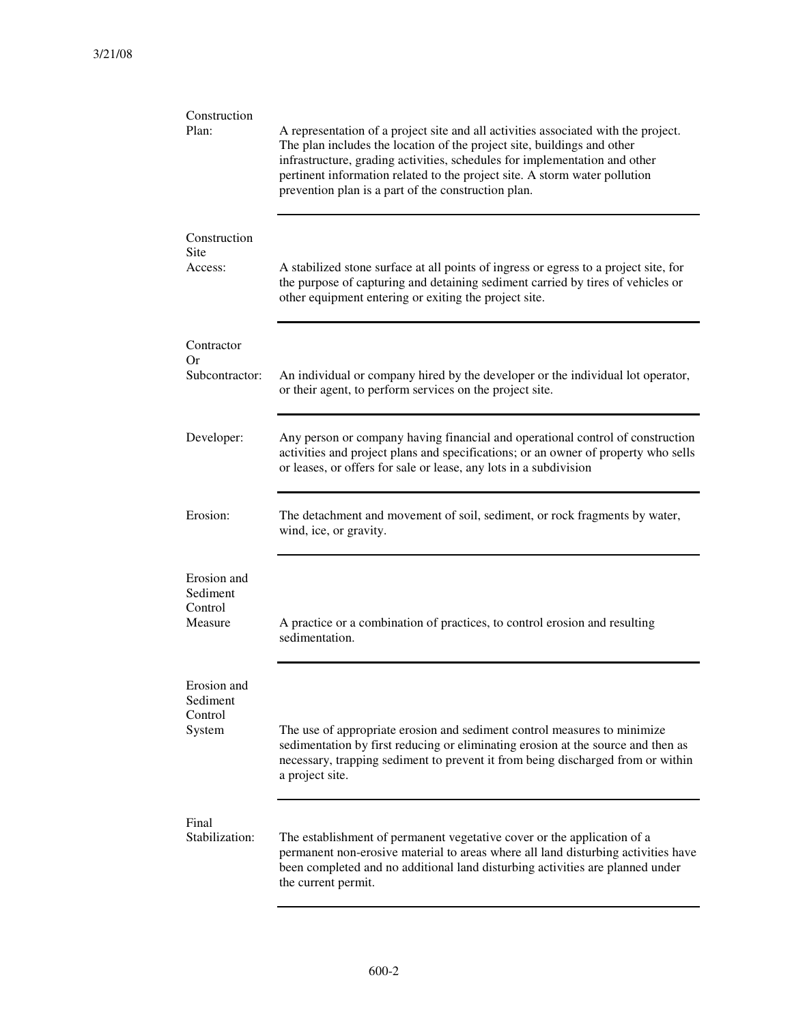| Construction<br>Plan:                         | A representation of a project site and all activities associated with the project.<br>The plan includes the location of the project site, buildings and other<br>infrastructure, grading activities, schedules for implementation and other<br>pertinent information related to the project site. A storm water pollution<br>prevention plan is a part of the construction plan. |  |
|-----------------------------------------------|----------------------------------------------------------------------------------------------------------------------------------------------------------------------------------------------------------------------------------------------------------------------------------------------------------------------------------------------------------------------------------|--|
| Construction<br>Site<br>Access:               | A stabilized stone surface at all points of ingress or egress to a project site, for<br>the purpose of capturing and detaining sediment carried by tires of vehicles or<br>other equipment entering or exiting the project site.                                                                                                                                                 |  |
| Contractor<br>Or<br>Subcontractor:            | An individual or company hired by the developer or the individual lot operator,<br>or their agent, to perform services on the project site.                                                                                                                                                                                                                                      |  |
| Developer:                                    | Any person or company having financial and operational control of construction<br>activities and project plans and specifications; or an owner of property who sells<br>or leases, or offers for sale or lease, any lots in a subdivision                                                                                                                                        |  |
| Erosion:                                      | The detachment and movement of soil, sediment, or rock fragments by water,<br>wind, ice, or gravity.                                                                                                                                                                                                                                                                             |  |
| Erosion and<br>Sediment<br>Control<br>Measure | A practice or a combination of practices, to control erosion and resulting<br>sedimentation.                                                                                                                                                                                                                                                                                     |  |
| Erosion and<br>Sediment<br>Control<br>System  | The use of appropriate erosion and sediment control measures to minimize<br>sedimentation by first reducing or eliminating erosion at the source and then as<br>necessary, trapping sediment to prevent it from being discharged from or within<br>a project site.                                                                                                               |  |
| Final<br>Stabilization:                       | The establishment of permanent vegetative cover or the application of a<br>permanent non-erosive material to areas where all land disturbing activities have<br>been completed and no additional land disturbing activities are planned under<br>the current permit.                                                                                                             |  |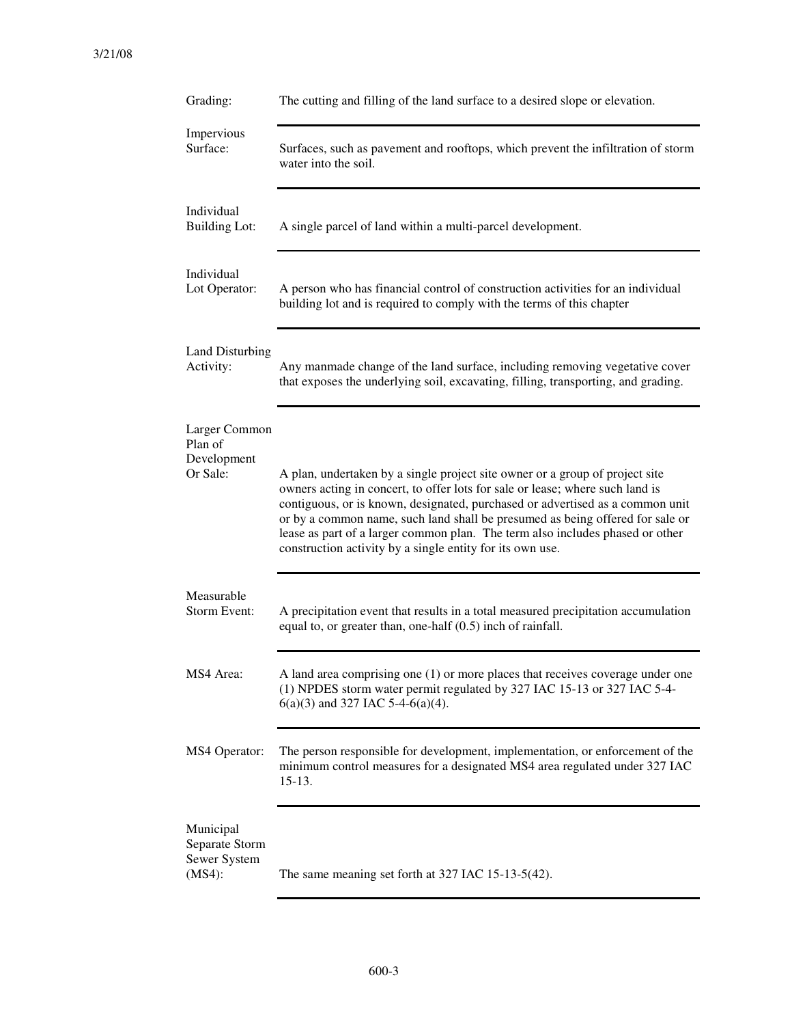| Grading:                                              | The cutting and filling of the land surface to a desired slope or elevation.                                                                                                                                                                                                                                                                                                                                                                                                  |
|-------------------------------------------------------|-------------------------------------------------------------------------------------------------------------------------------------------------------------------------------------------------------------------------------------------------------------------------------------------------------------------------------------------------------------------------------------------------------------------------------------------------------------------------------|
| Impervious<br>Surface:                                | Surfaces, such as pavement and rooftops, which prevent the infiltration of storm<br>water into the soil.                                                                                                                                                                                                                                                                                                                                                                      |
| Individual<br><b>Building Lot:</b>                    | A single parcel of land within a multi-parcel development.                                                                                                                                                                                                                                                                                                                                                                                                                    |
| Individual<br>Lot Operator:                           | A person who has financial control of construction activities for an individual<br>building lot and is required to comply with the terms of this chapter                                                                                                                                                                                                                                                                                                                      |
| Land Disturbing<br>Activity:                          | Any manmade change of the land surface, including removing vegetative cover<br>that exposes the underlying soil, excavating, filling, transporting, and grading.                                                                                                                                                                                                                                                                                                              |
| Larger Common<br>Plan of<br>Development<br>Or Sale:   | A plan, undertaken by a single project site owner or a group of project site<br>owners acting in concert, to offer lots for sale or lease; where such land is<br>contiguous, or is known, designated, purchased or advertised as a common unit<br>or by a common name, such land shall be presumed as being offered for sale or<br>lease as part of a larger common plan. The term also includes phased or other<br>construction activity by a single entity for its own use. |
| Measurable<br>Storm Event:                            | A precipitation event that results in a total measured precipitation accumulation<br>equal to, or greater than, one-half $(0.5)$ inch of rainfall.                                                                                                                                                                                                                                                                                                                            |
| MS4 Area:                                             | A land area comprising one (1) or more places that receives coverage under one<br>(1) NPDES storm water permit regulated by 327 IAC 15-13 or 327 IAC 5-4-<br>$6(a)(3)$ and 327 IAC 5-4-6(a)(4).                                                                                                                                                                                                                                                                               |
| MS4 Operator:                                         | The person responsible for development, implementation, or enforcement of the<br>minimum control measures for a designated MS4 area regulated under 327 IAC<br>$15-13.$                                                                                                                                                                                                                                                                                                       |
| Municipal<br>Separate Storm<br>Sewer System<br>(MS4): | The same meaning set forth at 327 IAC 15-13-5(42).                                                                                                                                                                                                                                                                                                                                                                                                                            |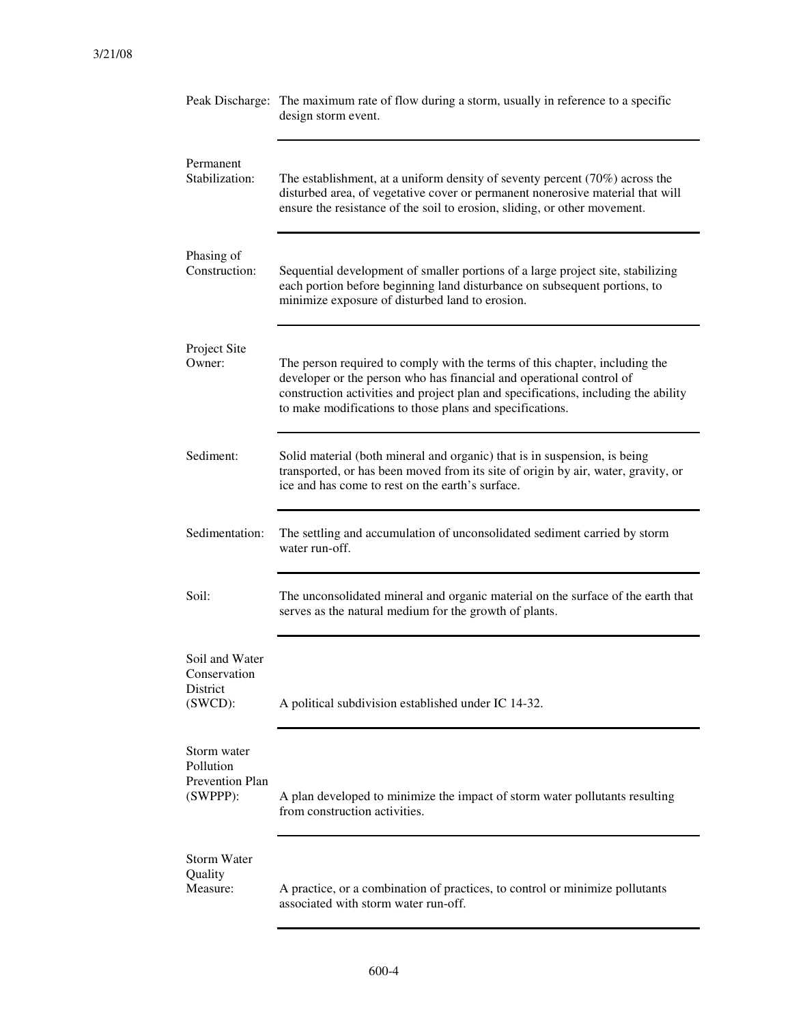|                                                          | Peak Discharge: The maximum rate of flow during a storm, usually in reference to a specific<br>design storm event.                                                                                                                                                                                    |
|----------------------------------------------------------|-------------------------------------------------------------------------------------------------------------------------------------------------------------------------------------------------------------------------------------------------------------------------------------------------------|
| Permanent<br>Stabilization:                              | The establishment, at a uniform density of seventy percent $(70\%)$ across the<br>disturbed area, of vegetative cover or permanent nonerosive material that will<br>ensure the resistance of the soil to erosion, sliding, or other movement.                                                         |
| Phasing of<br>Construction:                              | Sequential development of smaller portions of a large project site, stabilizing<br>each portion before beginning land disturbance on subsequent portions, to<br>minimize exposure of disturbed land to erosion.                                                                                       |
| Project Site<br>Owner:                                   | The person required to comply with the terms of this chapter, including the<br>developer or the person who has financial and operational control of<br>construction activities and project plan and specifications, including the ability<br>to make modifications to those plans and specifications. |
| Sediment:                                                | Solid material (both mineral and organic) that is in suspension, is being<br>transported, or has been moved from its site of origin by air, water, gravity, or<br>ice and has come to rest on the earth's surface.                                                                                    |
| Sedimentation:                                           | The settling and accumulation of unconsolidated sediment carried by storm<br>water run-off.                                                                                                                                                                                                           |
| Soil:                                                    | The unconsolidated mineral and organic material on the surface of the earth that<br>serves as the natural medium for the growth of plants.                                                                                                                                                            |
| Soil and Water<br>Conservation<br>District<br>$(SWCD)$ : | A political subdivision established under IC 14-32.                                                                                                                                                                                                                                                   |
| Storm water<br>Pollution<br>Prevention Plan<br>(SWPPP):  | A plan developed to minimize the impact of storm water pollutants resulting<br>from construction activities.                                                                                                                                                                                          |
| <b>Storm Water</b><br>Quality<br>Measure:                | A practice, or a combination of practices, to control or minimize pollutants<br>associated with storm water run-off.                                                                                                                                                                                  |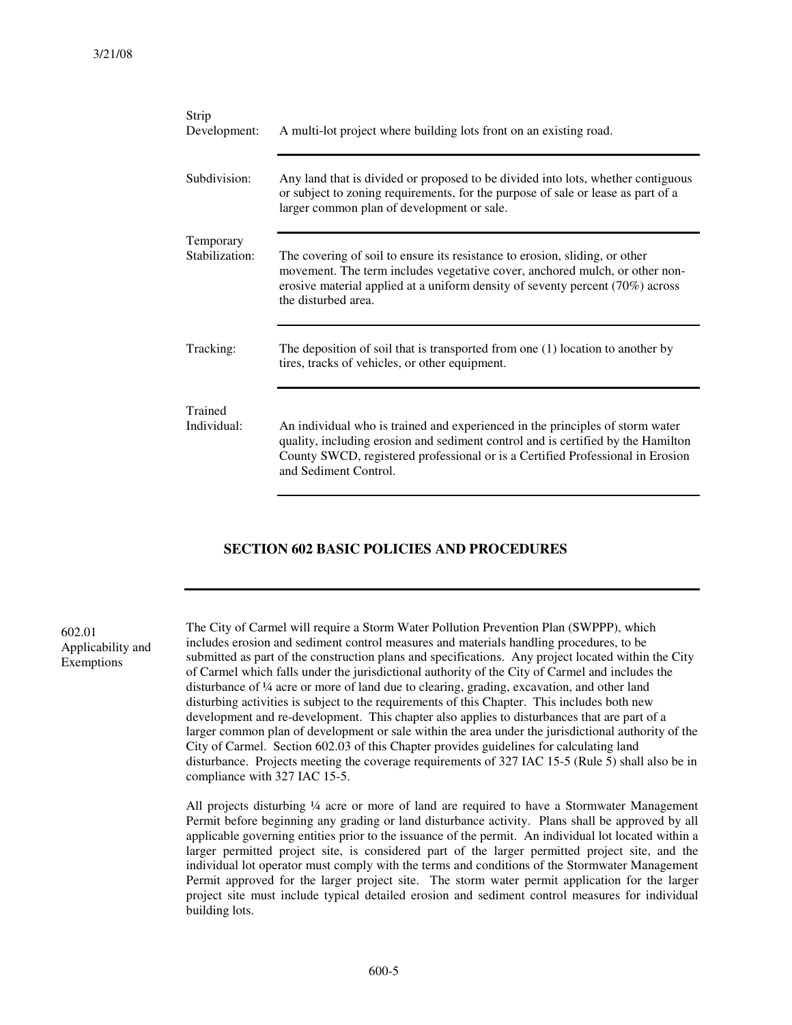| Strip<br>Development:       | A multi-lot project where building lots front on an existing road.                                                                                                                                                                                                           |  |  |
|-----------------------------|------------------------------------------------------------------------------------------------------------------------------------------------------------------------------------------------------------------------------------------------------------------------------|--|--|
| Subdivision:                | Any land that is divided or proposed to be divided into lots, whether contiguous<br>or subject to zoning requirements, for the purpose of sale or lease as part of a<br>larger common plan of development or sale.                                                           |  |  |
| Temporary<br>Stabilization: | The covering of soil to ensure its resistance to erosion, sliding, or other<br>movement. The term includes vegetative cover, anchored mulch, or other non-<br>erosive material applied at a uniform density of seventy percent (70%) across<br>the disturbed area.           |  |  |
| Tracking:                   | The deposition of soil that is transported from one $(1)$ location to another by<br>tires, tracks of vehicles, or other equipment.                                                                                                                                           |  |  |
| Trained<br>Individual:      | An individual who is trained and experienced in the principles of storm water<br>quality, including erosion and sediment control and is certified by the Hamilton<br>County SWCD, registered professional or is a Certified Professional in Erosion<br>and Sediment Control. |  |  |

#### **SECTION 602 BASIC POLICIES AND PROCEDURES**

602.01 Applicability and Exemptions

The City of Carmel will require a Storm Water Pollution Prevention Plan (SWPPP), which includes erosion and sediment control measures and materials handling procedures, to be submitted as part of the construction plans and specifications. Any project located within the City of Carmel which falls under the jurisdictional authority of the City of Carmel and includes the disturbance of ¼ acre or more of land due to clearing, grading, excavation, and other land disturbing activities is subject to the requirements of this Chapter. This includes both new development and re-development. This chapter also applies to disturbances that are part of a larger common plan of development or sale within the area under the jurisdictional authority of the City of Carmel. Section 602.03 of this Chapter provides guidelines for calculating land disturbance. Projects meeting the coverage requirements of 327 IAC 15-5 (Rule 5) shall also be in compliance with 327 IAC 15-5.

All projects disturbing ¼ acre or more of land are required to have a Stormwater Management Permit before beginning any grading or land disturbance activity. Plans shall be approved by all applicable governing entities prior to the issuance of the permit. An individual lot located within a larger permitted project site, is considered part of the larger permitted project site, and the individual lot operator must comply with the terms and conditions of the Stormwater Management Permit approved for the larger project site. The storm water permit application for the larger project site must include typical detailed erosion and sediment control measures for individual building lots.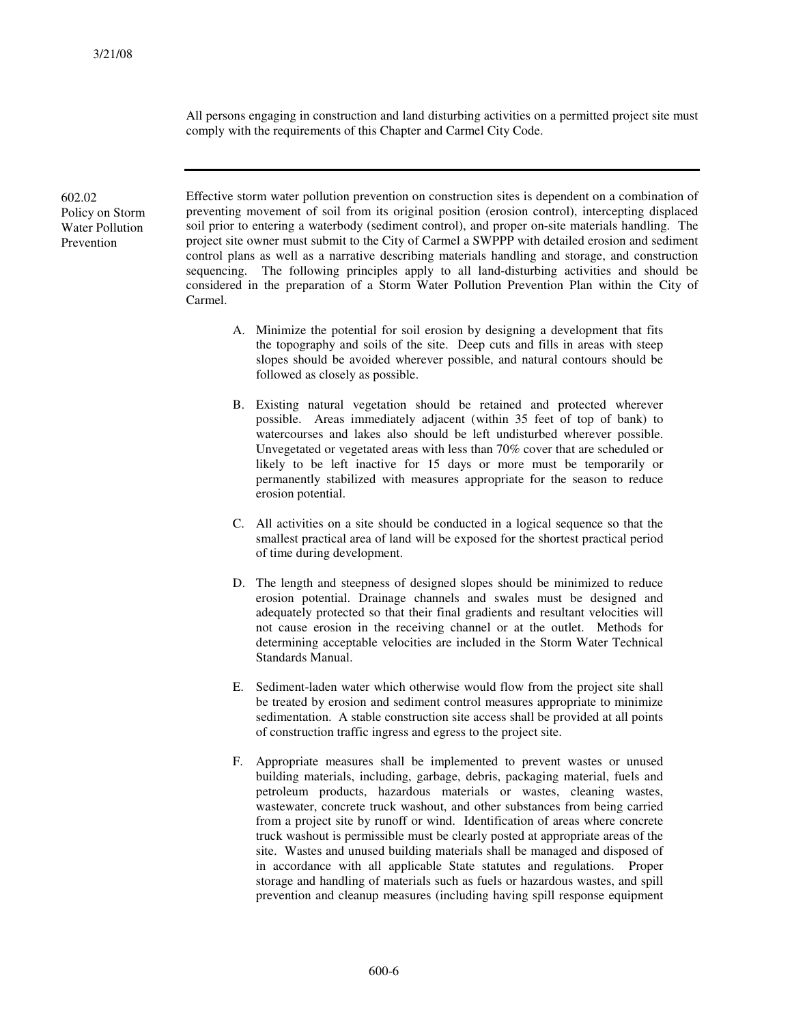All persons engaging in construction and land disturbing activities on a permitted project site must comply with the requirements of this Chapter and Carmel City Code.

602.02 Policy on Storm Water Pollution Prevention

Effective storm water pollution prevention on construction sites is dependent on a combination of preventing movement of soil from its original position (erosion control), intercepting displaced soil prior to entering a waterbody (sediment control), and proper on-site materials handling. The project site owner must submit to the City of Carmel a SWPPP with detailed erosion and sediment control plans as well as a narrative describing materials handling and storage, and construction sequencing. The following principles apply to all land-disturbing activities and should be considered in the preparation of a Storm Water Pollution Prevention Plan within the City of Carmel.

- A. Minimize the potential for soil erosion by designing a development that fits the topography and soils of the site. Deep cuts and fills in areas with steep slopes should be avoided wherever possible, and natural contours should be followed as closely as possible.
- B. Existing natural vegetation should be retained and protected wherever possible. Areas immediately adjacent (within 35 feet of top of bank) to watercourses and lakes also should be left undisturbed wherever possible. Unvegetated or vegetated areas with less than 70% cover that are scheduled or likely to be left inactive for 15 days or more must be temporarily or permanently stabilized with measures appropriate for the season to reduce erosion potential.
- C. All activities on a site should be conducted in a logical sequence so that the smallest practical area of land will be exposed for the shortest practical period of time during development.
- D. The length and steepness of designed slopes should be minimized to reduce erosion potential. Drainage channels and swales must be designed and adequately protected so that their final gradients and resultant velocities will not cause erosion in the receiving channel or at the outlet. Methods for determining acceptable velocities are included in the Storm Water Technical Standards Manual.
- E. Sediment-laden water which otherwise would flow from the project site shall be treated by erosion and sediment control measures appropriate to minimize sedimentation. A stable construction site access shall be provided at all points of construction traffic ingress and egress to the project site.
- F. Appropriate measures shall be implemented to prevent wastes or unused building materials, including, garbage, debris, packaging material, fuels and petroleum products, hazardous materials or wastes, cleaning wastes, wastewater, concrete truck washout, and other substances from being carried from a project site by runoff or wind. Identification of areas where concrete truck washout is permissible must be clearly posted at appropriate areas of the site. Wastes and unused building materials shall be managed and disposed of in accordance with all applicable State statutes and regulations. Proper storage and handling of materials such as fuels or hazardous wastes, and spill prevention and cleanup measures (including having spill response equipment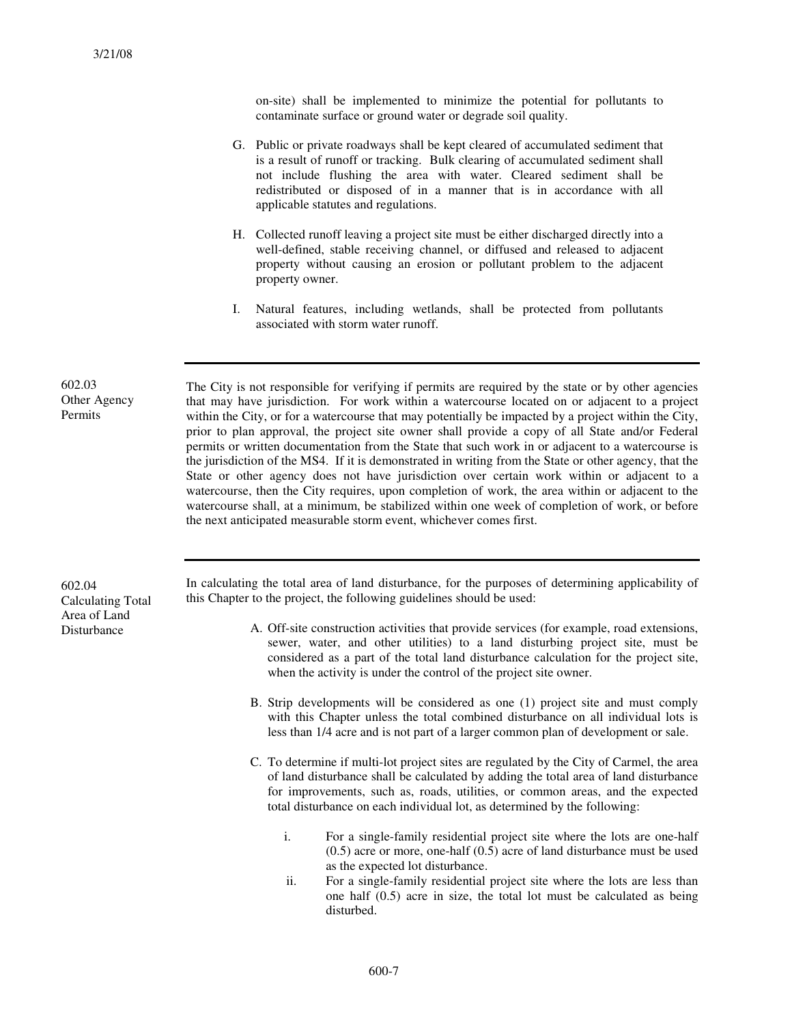on-site) shall be implemented to minimize the potential for pollutants to contaminate surface or ground water or degrade soil quality.

- G. Public or private roadways shall be kept cleared of accumulated sediment that is a result of runoff or tracking. Bulk clearing of accumulated sediment shall not include flushing the area with water. Cleared sediment shall be redistributed or disposed of in a manner that is in accordance with all applicable statutes and regulations.
- H. Collected runoff leaving a project site must be either discharged directly into a well-defined, stable receiving channel, or diffused and released to adjacent property without causing an erosion or pollutant problem to the adjacent property owner.
- I. Natural features, including wetlands, shall be protected from pollutants associated with storm water runoff.

The City is not responsible for verifying if permits are required by the state or by other agencies that may have jurisdiction. For work within a watercourse located on or adjacent to a project within the City, or for a watercourse that may potentially be impacted by a project within the City, prior to plan approval, the project site owner shall provide a copy of all State and/or Federal permits or written documentation from the State that such work in or adjacent to a watercourse is the jurisdiction of the MS4. If it is demonstrated in writing from the State or other agency, that the State or other agency does not have jurisdiction over certain work within or adjacent to a watercourse, then the City requires, upon completion of work, the area within or adjacent to the watercourse shall, at a minimum, be stabilized within one week of completion of work, or before the next anticipated measurable storm event, whichever comes first.

602.04 Calculating Total Area of Land **Disturbance** 

602.03 Other Agency Permits

> In calculating the total area of land disturbance, for the purposes of determining applicability of this Chapter to the project, the following guidelines should be used:

- A. Off-site construction activities that provide services (for example, road extensions, sewer, water, and other utilities) to a land disturbing project site, must be considered as a part of the total land disturbance calculation for the project site, when the activity is under the control of the project site owner.
- B. Strip developments will be considered as one (1) project site and must comply with this Chapter unless the total combined disturbance on all individual lots is less than 1/4 acre and is not part of a larger common plan of development or sale.
- C. To determine if multi-lot project sites are regulated by the City of Carmel, the area of land disturbance shall be calculated by adding the total area of land disturbance for improvements, such as, roads, utilities, or common areas, and the expected total disturbance on each individual lot, as determined by the following:
	- i. For a single-family residential project site where the lots are one-half (0.5) acre or more, one-half (0.5) acre of land disturbance must be used as the expected lot disturbance.
	- ii. For a single-family residential project site where the lots are less than one half (0.5) acre in size, the total lot must be calculated as being disturbed.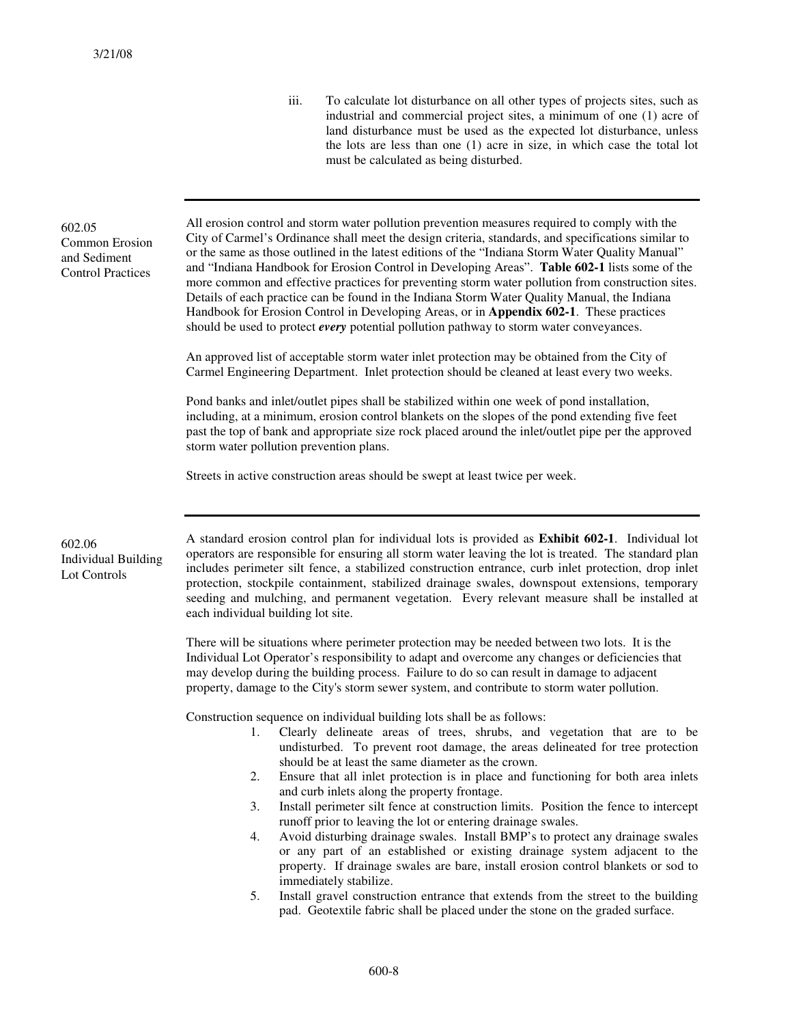iii. To calculate lot disturbance on all other types of projects sites, such as industrial and commercial project sites, a minimum of one (1) acre of land disturbance must be used as the expected lot disturbance, unless the lots are less than one (1) acre in size, in which case the total lot must be calculated as being disturbed.

#### 602.05 Common Erosion and Sediment Control Practices

All erosion control and storm water pollution prevention measures required to comply with the City of Carmel's Ordinance shall meet the design criteria, standards, and specifications similar to or the same as those outlined in the latest editions of the "Indiana Storm Water Quality Manual" and "Indiana Handbook for Erosion Control in Developing Areas". **Table 602-1** lists some of the more common and effective practices for preventing storm water pollution from construction sites. Details of each practice can be found in the Indiana Storm Water Quality Manual, the Indiana Handbook for Erosion Control in Developing Areas, or in **Appendix 602-1**. These practices should be used to protect *every* potential pollution pathway to storm water conveyances.

An approved list of acceptable storm water inlet protection may be obtained from the City of Carmel Engineering Department. Inlet protection should be cleaned at least every two weeks.

Pond banks and inlet/outlet pipes shall be stabilized within one week of pond installation, including, at a minimum, erosion control blankets on the slopes of the pond extending five feet past the top of bank and appropriate size rock placed around the inlet/outlet pipe per the approved storm water pollution prevention plans.

Streets in active construction areas should be swept at least twice per week.

602.06 Individual Building Lot Controls

A standard erosion control plan for individual lots is provided as **Exhibit 602-1**. Individual lot operators are responsible for ensuring all storm water leaving the lot is treated. The standard plan includes perimeter silt fence, a stabilized construction entrance, curb inlet protection, drop inlet protection, stockpile containment, stabilized drainage swales, downspout extensions, temporary seeding and mulching, and permanent vegetation. Every relevant measure shall be installed at each individual building lot site.

There will be situations where perimeter protection may be needed between two lots. It is the Individual Lot Operator's responsibility to adapt and overcome any changes or deficiencies that may develop during the building process. Failure to do so can result in damage to adjacent property, damage to the City's storm sewer system, and contribute to storm water pollution.

Construction sequence on individual building lots shall be as follows:

- 1. Clearly delineate areas of trees, shrubs, and vegetation that are to be undisturbed. To prevent root damage, the areas delineated for tree protection should be at least the same diameter as the crown.
- 2. Ensure that all inlet protection is in place and functioning for both area inlets and curb inlets along the property frontage.
- 3. Install perimeter silt fence at construction limits. Position the fence to intercept runoff prior to leaving the lot or entering drainage swales.
- 4. Avoid disturbing drainage swales. Install BMP's to protect any drainage swales or any part of an established or existing drainage system adjacent to the property. If drainage swales are bare, install erosion control blankets or sod to immediately stabilize.
- 5. Install gravel construction entrance that extends from the street to the building pad. Geotextile fabric shall be placed under the stone on the graded surface.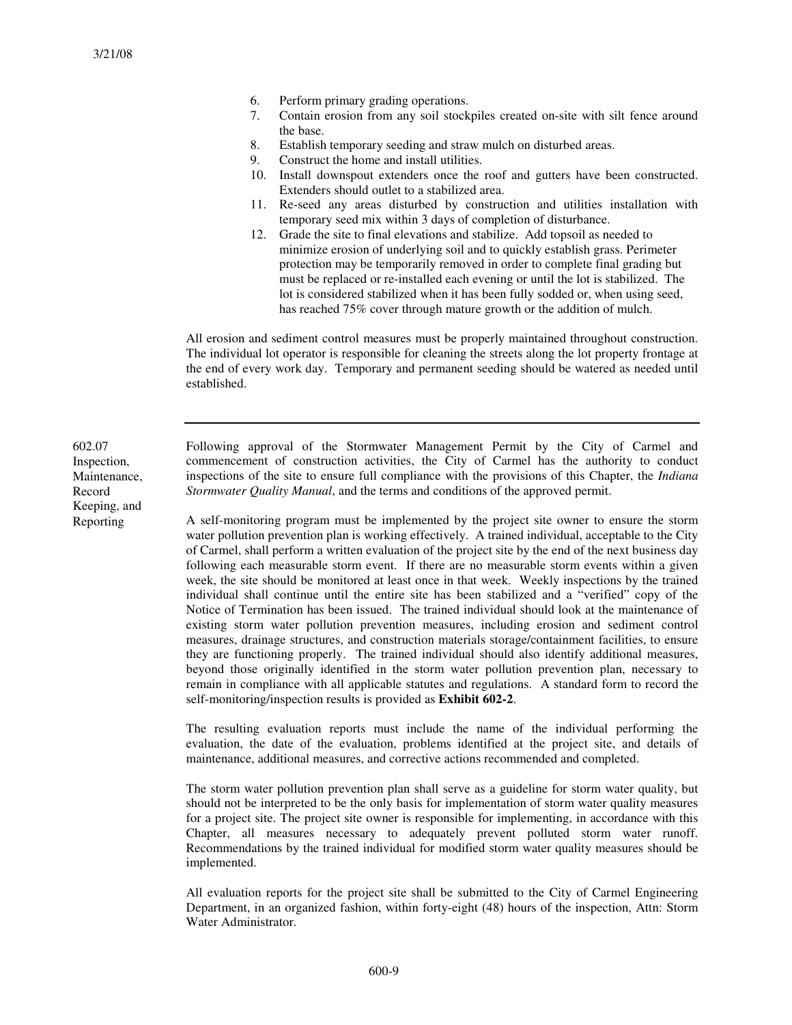- 6. Perform primary grading operations.
- 7. Contain erosion from any soil stockpiles created on-site with silt fence around the base.
- 8. Establish temporary seeding and straw mulch on disturbed areas.
- 9. Construct the home and install utilities.
- 10. Install downspout extenders once the roof and gutters have been constructed. Extenders should outlet to a stabilized area.
- 11. Re-seed any areas disturbed by construction and utilities installation with temporary seed mix within 3 days of completion of disturbance.
- 12. Grade the site to final elevations and stabilize. Add topsoil as needed to minimize erosion of underlying soil and to quickly establish grass. Perimeter protection may be temporarily removed in order to complete final grading but must be replaced or re-installed each evening or until the lot is stabilized. The lot is considered stabilized when it has been fully sodded or, when using seed, has reached 75% cover through mature growth or the addition of mulch.

All erosion and sediment control measures must be properly maintained throughout construction. The individual lot operator is responsible for cleaning the streets along the lot property frontage at the end of every work day. Temporary and permanent seeding should be watered as needed until established.

602.07 Inspection, Maintenance, Record Keeping, and Reporting

Following approval of the Stormwater Management Permit by the City of Carmel and commencement of construction activities, the City of Carmel has the authority to conduct inspections of the site to ensure full compliance with the provisions of this Chapter, the *Indiana Stormwater Quality Manual*, and the terms and conditions of the approved permit.

A self-monitoring program must be implemented by the project site owner to ensure the storm water pollution prevention plan is working effectively. A trained individual, acceptable to the City of Carmel, shall perform a written evaluation of the project site by the end of the next business day following each measurable storm event. If there are no measurable storm events within a given week, the site should be monitored at least once in that week. Weekly inspections by the trained individual shall continue until the entire site has been stabilized and a "verified" copy of the Notice of Termination has been issued. The trained individual should look at the maintenance of existing storm water pollution prevention measures, including erosion and sediment control measures, drainage structures, and construction materials storage/containment facilities, to ensure they are functioning properly. The trained individual should also identify additional measures, beyond those originally identified in the storm water pollution prevention plan, necessary to remain in compliance with all applicable statutes and regulations. A standard form to record the self-monitoring/inspection results is provided as **Exhibit 602-2**.

The resulting evaluation reports must include the name of the individual performing the evaluation, the date of the evaluation, problems identified at the project site, and details of maintenance, additional measures, and corrective actions recommended and completed.

The storm water pollution prevention plan shall serve as a guideline for storm water quality, but should not be interpreted to be the only basis for implementation of storm water quality measures for a project site. The project site owner is responsible for implementing, in accordance with this Chapter, all measures necessary to adequately prevent polluted storm water runoff. Recommendations by the trained individual for modified storm water quality measures should be implemented.

All evaluation reports for the project site shall be submitted to the City of Carmel Engineering Department, in an organized fashion, within forty-eight (48) hours of the inspection, Attn: Storm Water Administrator.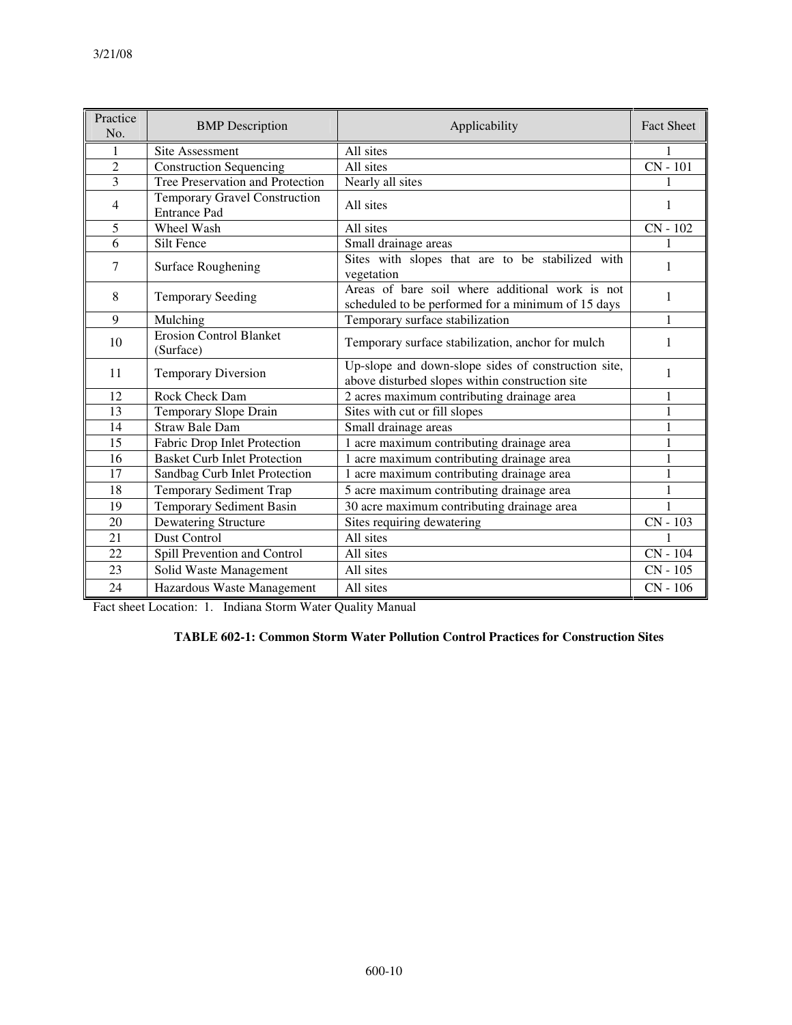| Practice<br>No. | <b>BMP</b> Description                               | Applicability                                                                                          | <b>Fact Sheet</b> |
|-----------------|------------------------------------------------------|--------------------------------------------------------------------------------------------------------|-------------------|
|                 | <b>Site Assessment</b>                               | All sites                                                                                              |                   |
| $\overline{2}$  | Construction Sequencing                              | All sites                                                                                              | $CN - 101$        |
| 3               | Tree Preservation and Protection                     | Nearly all sites                                                                                       |                   |
| $\overline{4}$  | Temporary Gravel Construction<br><b>Entrance Pad</b> | All sites                                                                                              | 1                 |
| 5               | Wheel Wash                                           | All sites                                                                                              | CN - 102          |
| 6               | Silt Fence                                           | Small drainage areas                                                                                   | 1                 |
| 7               | <b>Surface Roughening</b>                            | Sites with slopes that are to be stabilized with<br>vegetation                                         | 1                 |
| 8               | <b>Temporary Seeding</b>                             | Areas of bare soil where additional work is not<br>scheduled to be performed for a minimum of 15 days  | 1                 |
| 9               | Temporary surface stabilization<br>Mulching          |                                                                                                        | 1                 |
| 10              | <b>Erosion Control Blanket</b><br>(Surface)          | Temporary surface stabilization, anchor for mulch                                                      | 1                 |
| 11              | <b>Temporary Diversion</b>                           | Up-slope and down-slope sides of construction site,<br>above disturbed slopes within construction site | 1                 |
| 12              | Rock Check Dam                                       | 2 acres maximum contributing drainage area                                                             | $\mathbf{1}$      |
| 13              | Temporary Slope Drain                                | Sites with cut or fill slopes                                                                          | 1                 |
| $\overline{14}$ | <b>Straw Bale Dam</b>                                | Small drainage areas                                                                                   | $\mathbf{1}$      |
| 15              | Fabric Drop Inlet Protection                         | 1 acre maximum contributing drainage area                                                              | $\mathbf{1}$      |
| 16              | <b>Basket Curb Inlet Protection</b>                  | 1 acre maximum contributing drainage area                                                              | $\mathbf{1}$      |
| 17              | Sandbag Curb Inlet Protection                        | 1 acre maximum contributing drainage area                                                              | 1                 |
| 18              | Temporary Sediment Trap                              | 5 acre maximum contributing drainage area                                                              | 1                 |
| 19              | <b>Temporary Sediment Basin</b>                      | 30 acre maximum contributing drainage area                                                             | $\mathbf{1}$      |
| 20              | Dewatering Structure                                 | Sites requiring dewatering                                                                             | $CN - 103$        |
| 21              | <b>Dust Control</b>                                  | All sites                                                                                              | $\mathbf{1}$      |
| 22              | Spill Prevention and Control                         | All sites                                                                                              | $CN - 104$        |
| 23              | Solid Waste Management                               | All sites                                                                                              | CN - 105          |
| 24              | Hazardous Waste Management                           | All sites                                                                                              | $CN - 106$        |

Fact sheet Location: 1. Indiana Storm Water Quality Manual

#### **TABLE 602-1: Common Storm Water Pollution Control Practices for Construction Sites**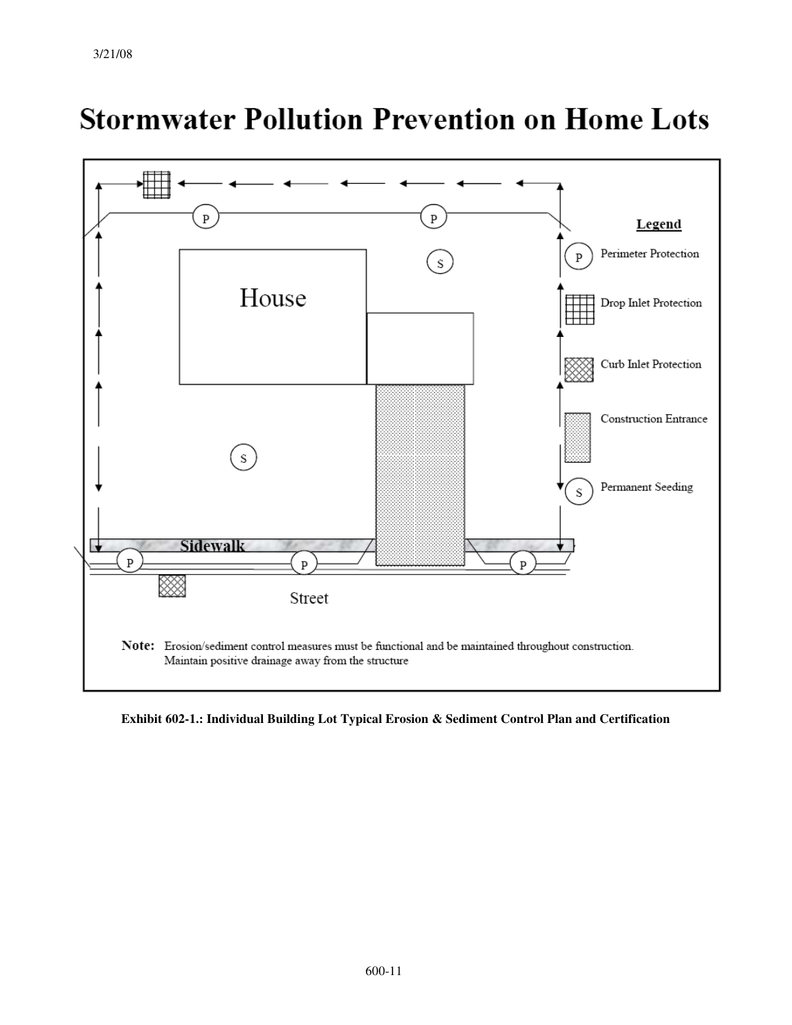

# **Stormwater Pollution Prevention on Home Lots**

**Exhibit 602-1.: Individual Building Lot Typical Erosion & Sediment Control Plan and Certification**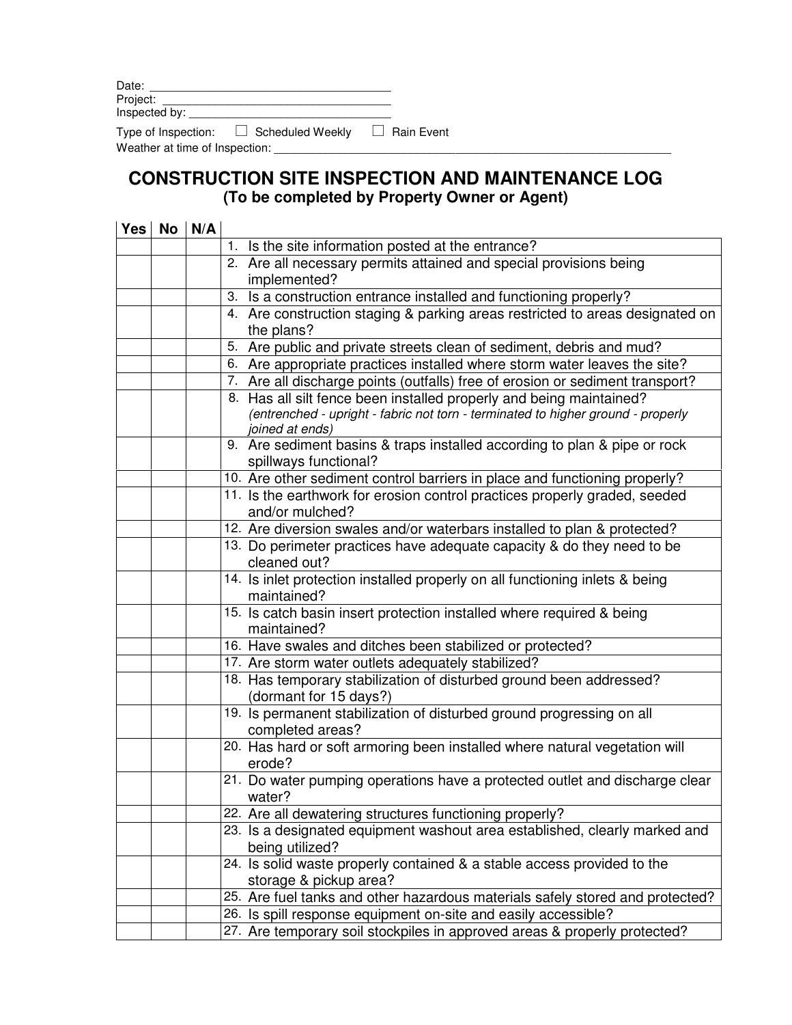| Date:         |  |
|---------------|--|
| Project:      |  |
| Inspected by: |  |

 $\Box$  Scheduled Weekly  $\Box$  Rain Event Type of Inspection:  $\square$  Sched<br>Weather at time of Inspection:  $\square$ 

# **CONSTRUCTION SITE INSPECTION AND MAINTENANCE LOG (To be completed by Property Owner or Agent)**

| <b>Yes</b> | No | N/A |                                                                                                    |  |
|------------|----|-----|----------------------------------------------------------------------------------------------------|--|
|            |    |     | 1. Is the site information posted at the entrance?                                                 |  |
|            |    |     | 2. Are all necessary permits attained and special provisions being                                 |  |
|            |    |     | implemented?                                                                                       |  |
|            |    |     | 3. Is a construction entrance installed and functioning properly?                                  |  |
|            |    |     | 4. Are construction staging & parking areas restricted to areas designated on                      |  |
|            |    |     | the plans?                                                                                         |  |
|            |    |     | 5. Are public and private streets clean of sediment, debris and mud?                               |  |
|            |    |     | 6. Are appropriate practices installed where storm water leaves the site?                          |  |
|            |    |     | 7. Are all discharge points (outfalls) free of erosion or sediment transport?                      |  |
|            |    |     | 8. Has all silt fence been installed properly and being maintained?                                |  |
|            |    |     | (entrenched - upright - fabric not torn - terminated to higher ground - properly                   |  |
|            |    |     | joined at ends)                                                                                    |  |
|            |    |     | 9. Are sediment basins & traps installed according to plan & pipe or rock<br>spillways functional? |  |
|            |    |     | 10. Are other sediment control barriers in place and functioning properly?                         |  |
|            |    |     | 11. Is the earthwork for erosion control practices properly graded, seeded                         |  |
|            |    |     | and/or mulched?                                                                                    |  |
|            |    |     | 12. Are diversion swales and/or waterbars installed to plan & protected?                           |  |
|            |    |     | 13. Do perimeter practices have adequate capacity & do they need to be                             |  |
|            |    |     | cleaned out?                                                                                       |  |
|            |    |     | 14. Is inlet protection installed properly on all functioning inlets & being<br>maintained?        |  |
|            |    |     | 15. Is catch basin insert protection installed where required & being<br>maintained?               |  |
|            |    |     | 16. Have swales and ditches been stabilized or protected?                                          |  |
|            |    |     | 17. Are storm water outlets adequately stabilized?                                                 |  |
|            |    |     | 18. Has temporary stabilization of disturbed ground been addressed?<br>(dormant for 15 days?)      |  |
|            |    |     | 19. Is permanent stabilization of disturbed ground progressing on all<br>completed areas?          |  |
|            |    |     | 20. Has hard or soft armoring been installed where natural vegetation will<br>erode?               |  |
|            |    |     | 21. Do water pumping operations have a protected outlet and discharge clear<br>water?              |  |
|            |    |     | 22. Are all dewatering structures functioning properly?                                            |  |
|            |    |     | 23. Is a designated equipment washout area established, clearly marked and<br>being utilized?      |  |
|            |    |     | 24. Is solid waste properly contained & a stable access provided to the                            |  |
|            |    |     | storage & pickup area?                                                                             |  |
|            |    |     | 25. Are fuel tanks and other hazardous materials safely stored and protected?                      |  |
|            |    |     | 26. Is spill response equipment on-site and easily accessible?                                     |  |
|            |    |     | 27. Are temporary soil stockpiles in approved areas & properly protected?                          |  |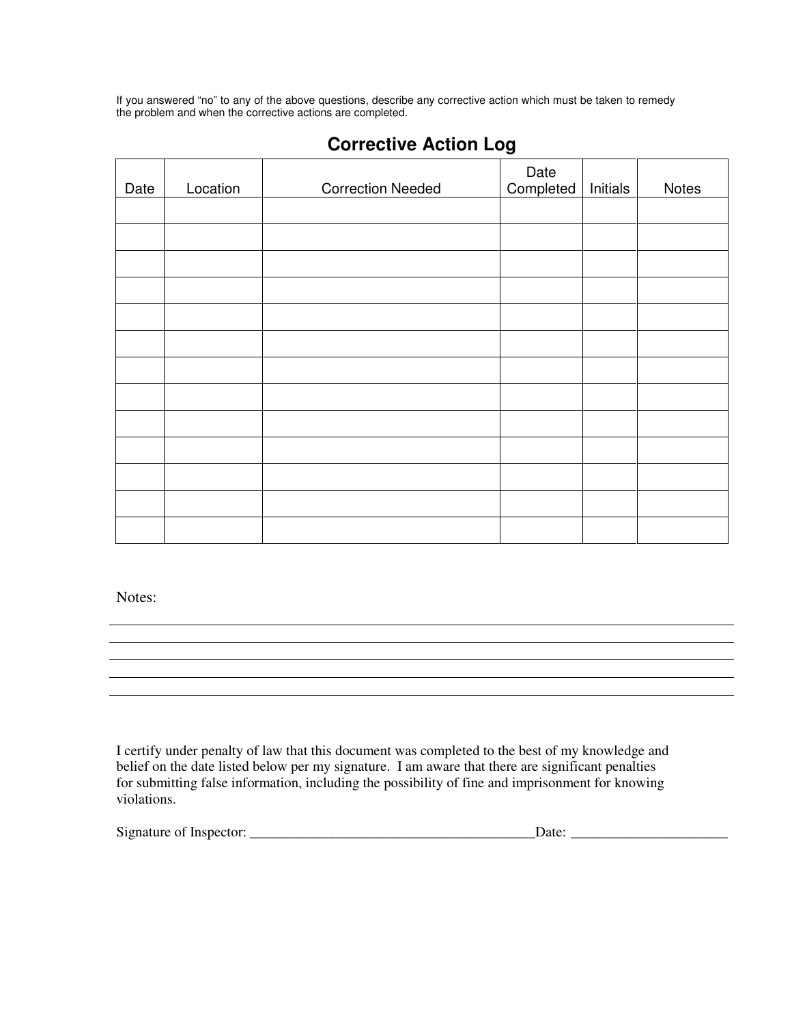If you answered "no" to any of the above questions, describe any corrective action which must be taken to remedy the problem and when the corrective actions are completed.

| Date | Location | <b>Correction Needed</b> | Date<br>Completed | Initials | Notes |
|------|----------|--------------------------|-------------------|----------|-------|
|      |          |                          |                   |          |       |
|      |          |                          |                   |          |       |
|      |          |                          |                   |          |       |
|      |          |                          |                   |          |       |
|      |          |                          |                   |          |       |
|      |          |                          |                   |          |       |
|      |          |                          |                   |          |       |
|      |          |                          |                   |          |       |
|      |          |                          |                   |          |       |
|      |          |                          |                   |          |       |
|      |          |                          |                   |          |       |
|      |          |                          |                   |          |       |
|      |          |                          |                   |          |       |

# **Corrective Action Log**

Notes:

I certify under penalty of law that this document was completed to the best of my knowledge and belief on the date listed below per my signature. I am aware that there are significant penalties for submitting false information, including the possibility of fine and imprisonment for knowing violations.

| Signature of<br>-Inspector |  |
|----------------------------|--|
|                            |  |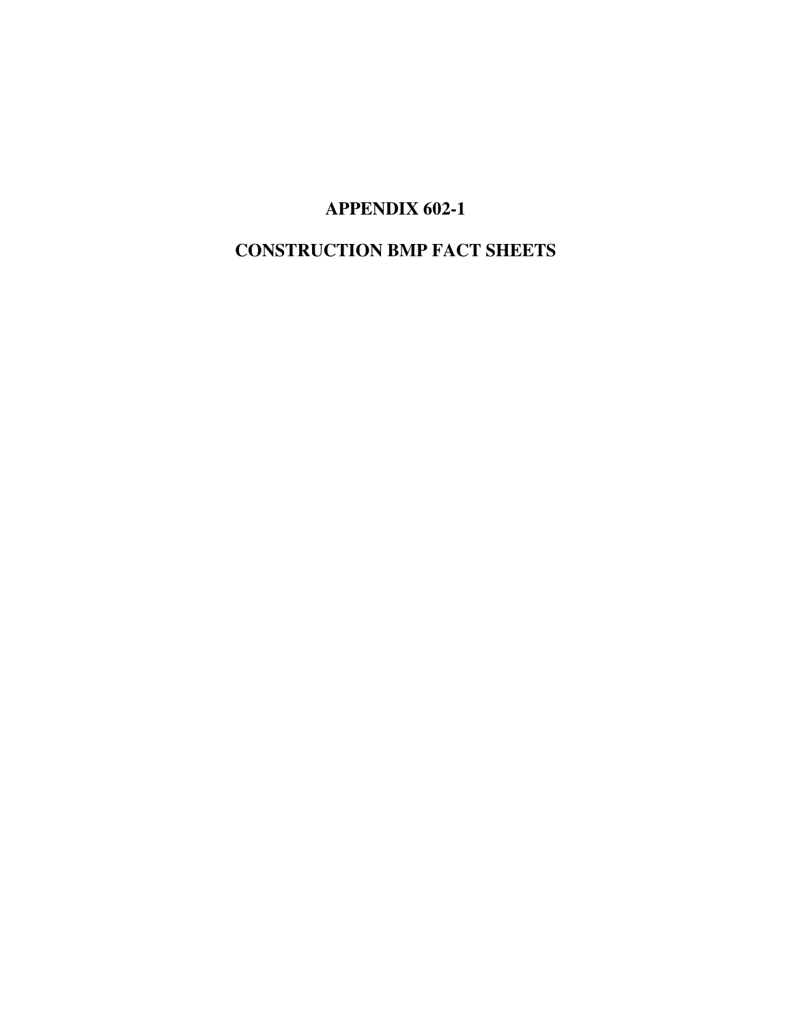**APPENDIX 602-1** 

# **CONSTRUCTION BMP FACT SHEETS**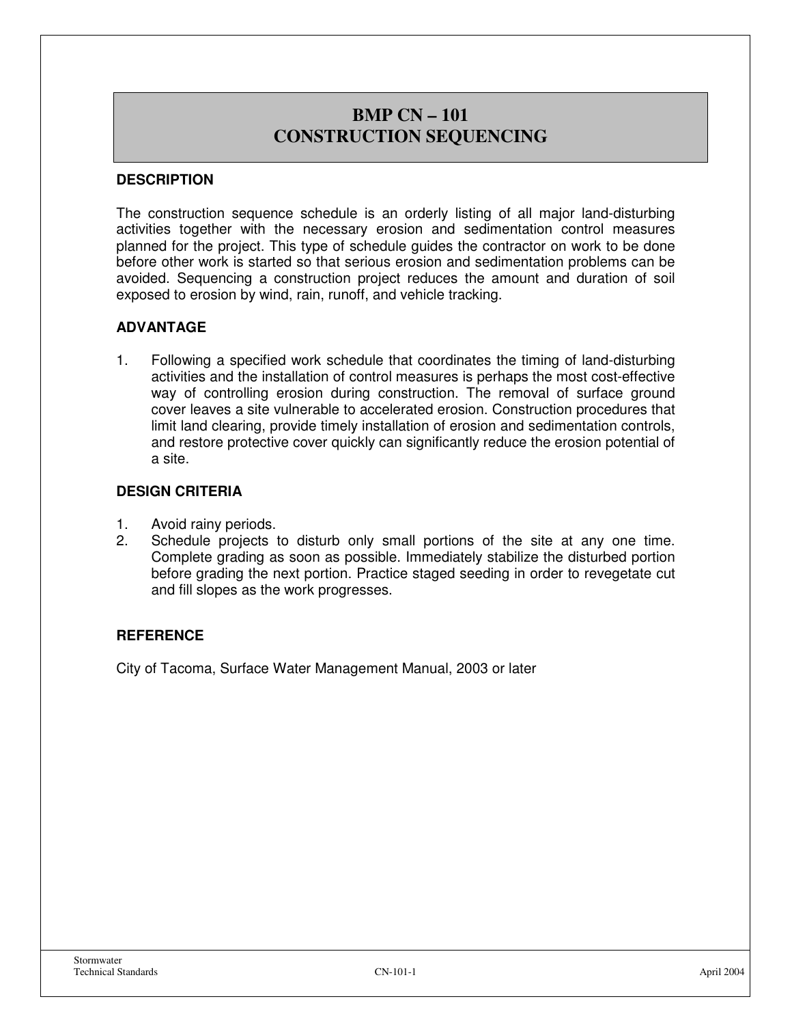#### **CONSTRUCTION SEQUENCING BMP CN – 101 CONSTRUCTION SEQUENCING**

#### **DESCRIPTION**

The construction sequence schedule is an orderly listing of all major land-disturbing activities together with the necessary erosion and sedimentation control measures planned for the project. This type of schedule guides the contractor on work to be done before other work is started so that serious erosion and sedimentation problems can be avoided. Sequencing a construction project reduces the amount and duration of soil exposed to erosion by wind, rain, runoff, and vehicle tracking.

#### **ADVANTAGE**

1. Following a specified work schedule that coordinates the timing of land-disturbing activities and the installation of control measures is perhaps the most cost-effective way of controlling erosion during construction. The removal of surface ground cover leaves a site vulnerable to accelerated erosion. Construction procedures that limit land clearing, provide timely installation of erosion and sedimentation controls, and restore protective cover quickly can significantly reduce the erosion potential of a site.

#### **DESIGN CRITERIA**

- 1. Avoid rainy periods.
- 2. Schedule projects to disturb only small portions of the site at any one time. Complete grading as soon as possible. Immediately stabilize the disturbed portion before grading the next portion. Practice staged seeding in order to revegetate cut and fill slopes as the work progresses.

#### **REFERENCE**

City of Tacoma, Surface Water Management Manual, 2003 or later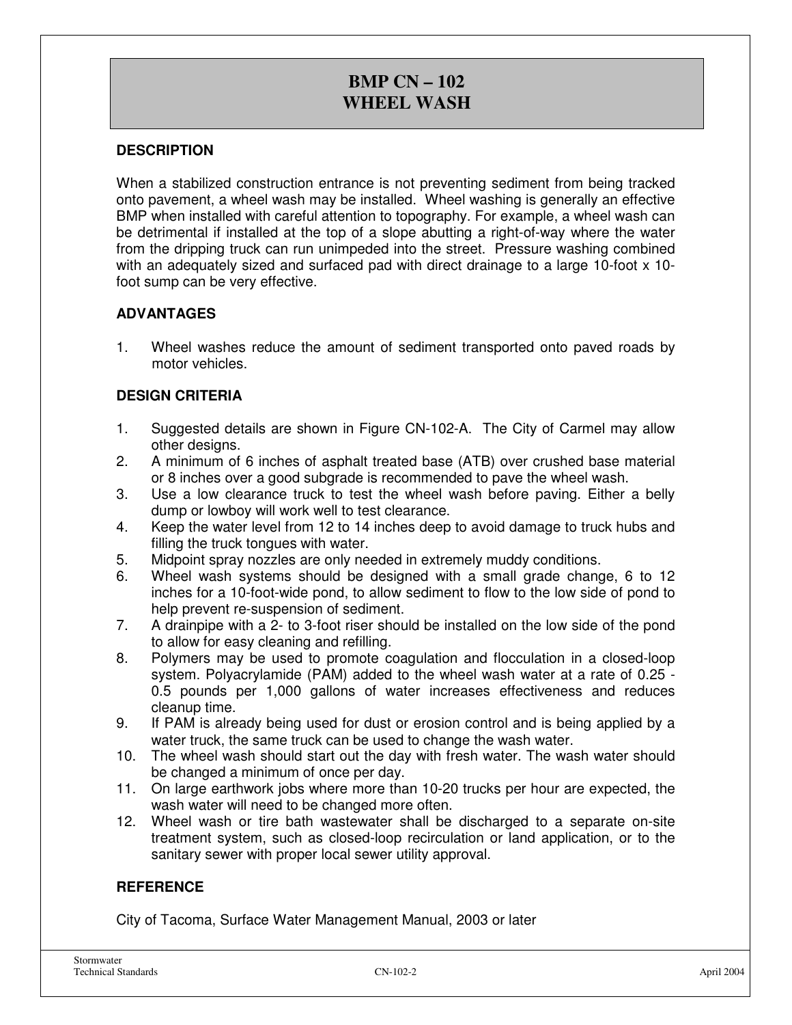# **BMP CN – 102 WHEEL WASH**

#### **DESCRIPTION**

When a stabilized construction entrance is not preventing sediment from being tracked onto pavement, a wheel wash may be installed. Wheel washing is generally an effective BMP when installed with careful attention to topography. For example, a wheel wash can be detrimental if installed at the top of a slope abutting a right-of-way where the water from the dripping truck can run unimpeded into the street. Pressure washing combined with an adequately sized and surfaced pad with direct drainage to a large 10-foot x 10 foot sump can be very effective.

#### **ADVANTAGES**

1. Wheel washes reduce the amount of sediment transported onto paved roads by motor vehicles.

#### **DESIGN CRITERIA**

- 1. Suggested details are shown in Figure CN-102-A. The City of Carmel may allow other designs.
- 2. A minimum of 6 inches of asphalt treated base (ATB) over crushed base material or 8 inches over a good subgrade is recommended to pave the wheel wash.
- 3. Use a low clearance truck to test the wheel wash before paving. Either a belly dump or lowboy will work well to test clearance.
- 4. Keep the water level from 12 to 14 inches deep to avoid damage to truck hubs and filling the truck tongues with water.
- 5. Midpoint spray nozzles are only needed in extremely muddy conditions.
- 6. Wheel wash systems should be designed with a small grade change, 6 to 12 inches for a 10-foot-wide pond, to allow sediment to flow to the low side of pond to help prevent re-suspension of sediment.
- 7. A drainpipe with a 2- to 3-foot riser should be installed on the low side of the pond to allow for easy cleaning and refilling.
- 8. Polymers may be used to promote coagulation and flocculation in a closed-loop system. Polyacrylamide (PAM) added to the wheel wash water at a rate of 0.25 - 0.5 pounds per 1,000 gallons of water increases effectiveness and reduces cleanup time.
- 9. If PAM is already being used for dust or erosion control and is being applied by a water truck, the same truck can be used to change the wash water.
- 10. The wheel wash should start out the day with fresh water. The wash water should be changed a minimum of once per day.
- 11. On large earthwork jobs where more than 10-20 trucks per hour are expected, the wash water will need to be changed more often.
- 12. Wheel wash or tire bath wastewater shall be discharged to a separate on-site treatment system, such as closed-loop recirculation or land application, or to the sanitary sewer with proper local sewer utility approval.

#### **REFERENCE**

City of Tacoma, Surface Water Management Manual, 2003 or later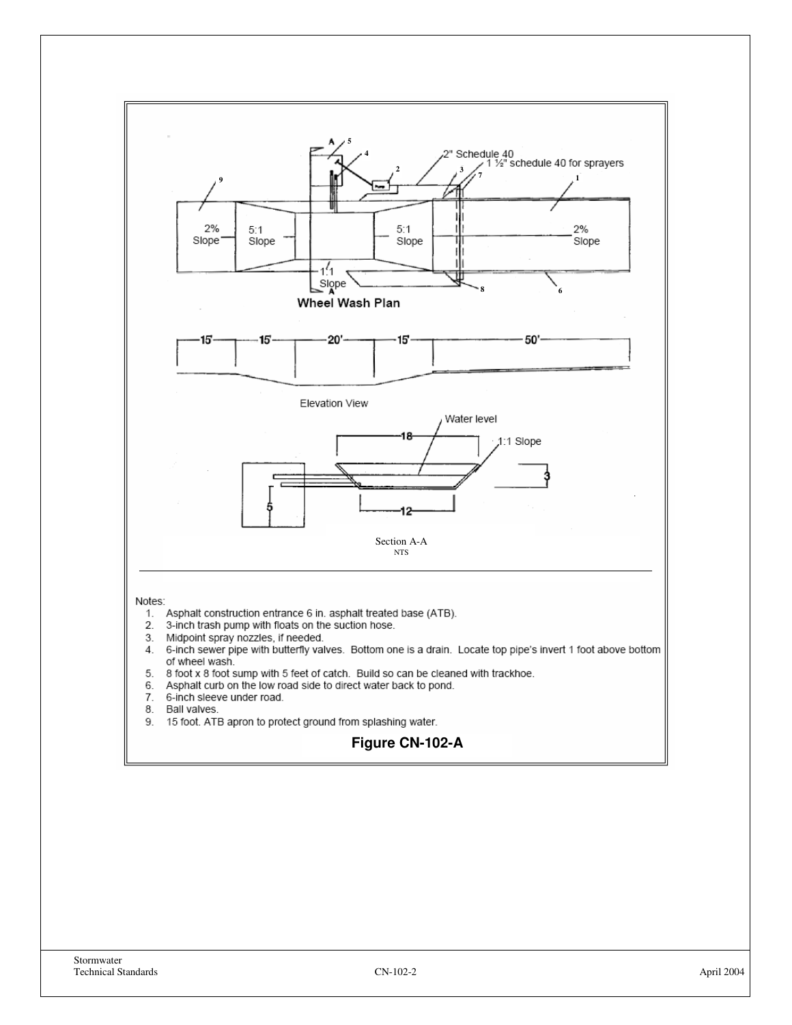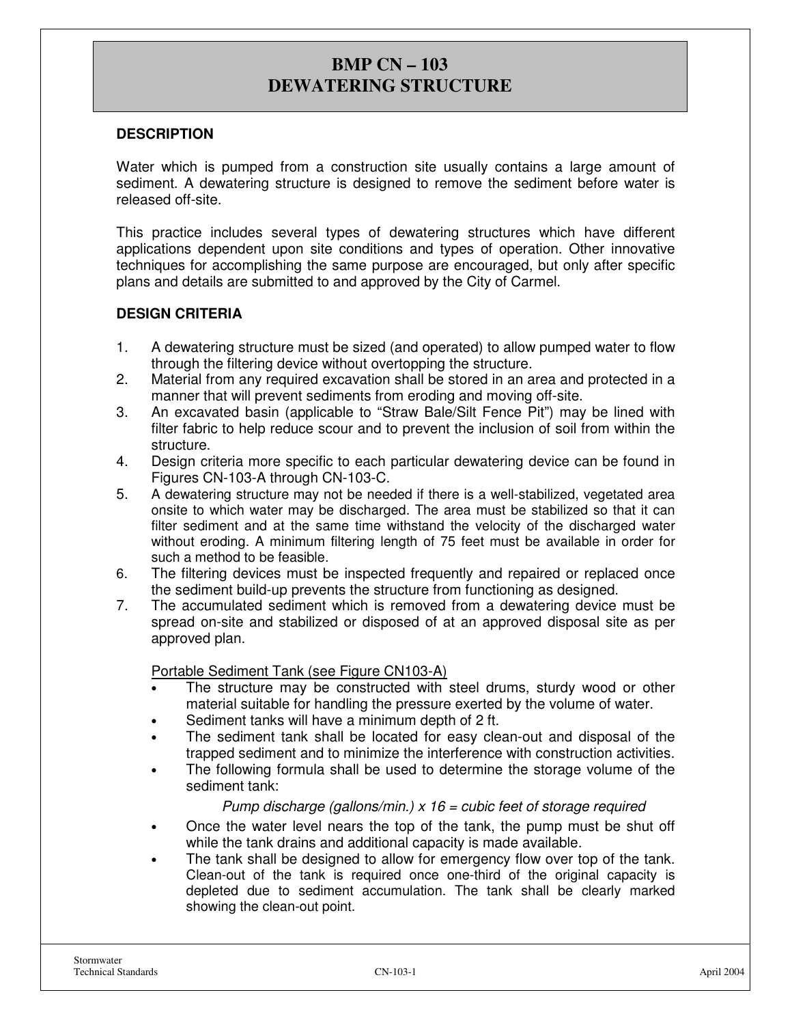### **BMP CN – 103 DEWATERING STRUCTURE**

#### **DESCRIPTION**

Water which is pumped from a construction site usually contains a large amount of sediment. A dewatering structure is designed to remove the sediment before water is released off-site.

This practice includes several types of dewatering structures which have different applications dependent upon site conditions and types of operation. Other innovative techniques for accomplishing the same purpose are encouraged, but only after specific plans and details are submitted to and approved by the City of Carmel.

#### **DESIGN CRITERIA**

- 1. A dewatering structure must be sized (and operated) to allow pumped water to flow through the filtering device without overtopping the structure.
- 2. Material from any required excavation shall be stored in an area and protected in a manner that will prevent sediments from eroding and moving off-site.
- 3. An excavated basin (applicable to "Straw Bale/Silt Fence Pit") may be lined with filter fabric to help reduce scour and to prevent the inclusion of soil from within the structure.
- 4. Design criteria more specific to each particular dewatering device can be found in Figures CN-103-A through CN-103-C.
- 5. A dewatering structure may not be needed if there is a well-stabilized, vegetated area onsite to which water may be discharged. The area must be stabilized so that it can filter sediment and at the same time withstand the velocity of the discharged water without eroding. A minimum filtering length of 75 feet must be available in order for such a method to be feasible.
- 6. The filtering devices must be inspected frequently and repaired or replaced once the sediment build-up prevents the structure from functioning as designed.
- 7. The accumulated sediment which is removed from a dewatering device must be spread on-site and stabilized or disposed of at an approved disposal site as per approved plan.

#### Portable Sediment Tank (see Figure CN103-A)

- The structure may be constructed with steel drums, sturdy wood or other material suitable for handling the pressure exerted by the volume of water.
- Sediment tanks will have a minimum depth of 2 ft.
- The sediment tank shall be located for easy clean-out and disposal of the trapped sediment and to minimize the interference with construction activities.
- The following formula shall be used to determine the storage volume of the sediment tank:

#### Pump discharge (gallons/min.)  $x$  16 = cubic feet of storage required

- Once the water level nears the top of the tank, the pump must be shut off while the tank drains and additional capacity is made available.
- The tank shall be designed to allow for emergency flow over top of the tank. Clean-out of the tank is required once one-third of the original capacity is depleted due to sediment accumulation. The tank shall be clearly marked showing the clean-out point.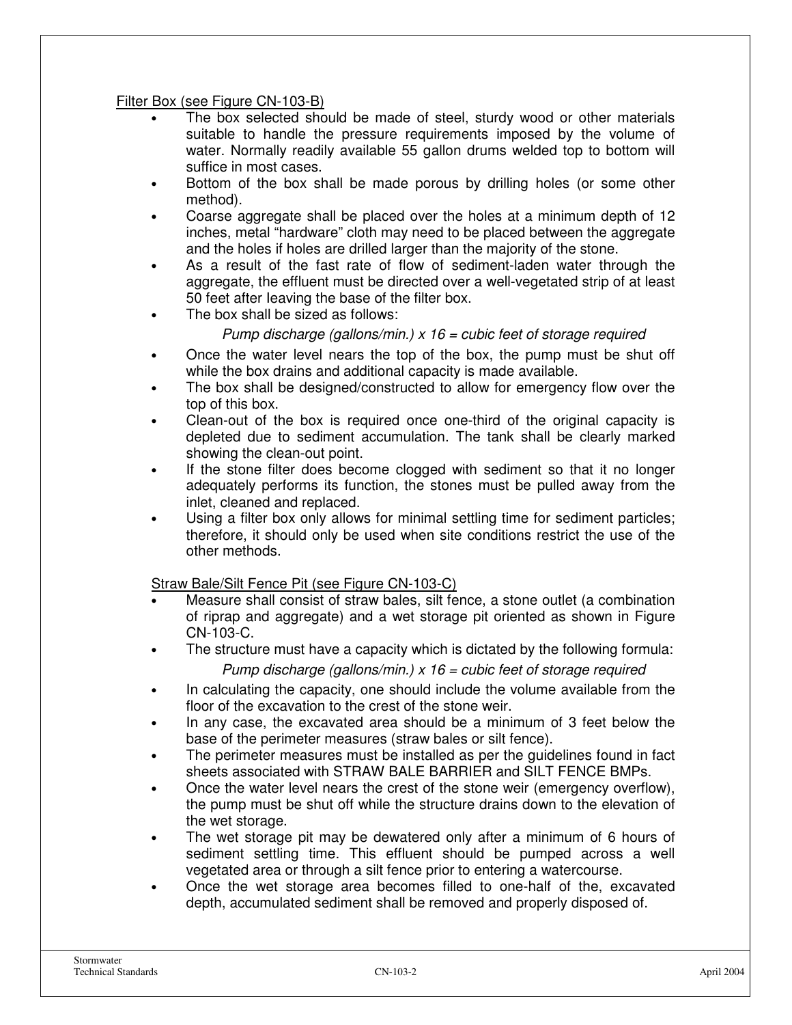Filter Box (see Figure CN-103-B)

- The box selected should be made of steel, sturdy wood or other materials suitable to handle the pressure requirements imposed by the volume of water. Normally readily available 55 gallon drums welded top to bottom will suffice in most cases.
- Bottom of the box shall be made porous by drilling holes (or some other method).
- Coarse aggregate shall be placed over the holes at a minimum depth of 12 inches, metal "hardware" cloth may need to be placed between the aggregate and the holes if holes are drilled larger than the majority of the stone.
- As a result of the fast rate of flow of sediment-laden water through the aggregate, the effluent must be directed over a well-vegetated strip of at least 50 feet after Ieaving the base of the filter box.
- The box shall be sized as follows:

#### Pump discharge (gallons/min.)  $x$  16 = cubic feet of storage required

- Once the water level nears the top of the box, the pump must be shut off while the box drains and additional capacity is made available.
- The box shall be designed/constructed to allow for emergency flow over the top of this box.
- Clean-out of the box is required once one-third of the original capacity is depleted due to sediment accumulation. The tank shall be clearly marked showing the clean-out point.
- If the stone filter does become clogged with sediment so that it no longer adequately performs its function, the stones must be pulled away from the inlet, cleaned and replaced.
- Using a filter box only allows for minimal settling time for sediment particles; therefore, it should only be used when site conditions restrict the use of the other methods.

Straw Bale/Silt Fence Pit (see Figure CN-103-C)

- Measure shall consist of straw bales, silt fence, a stone outlet (a combination of riprap and aggregate) and a wet storage pit oriented as shown in Figure CN-103-C.
- The structure must have a capacity which is dictated by the following formula:

#### Pump discharge (gallons/min.)  $x$  16 = cubic feet of storage required

- In calculating the capacity, one should include the volume available from the floor of the excavation to the crest of the stone weir.
- In any case, the excavated area should be a minimum of 3 feet below the base of the perimeter measures (straw bales or silt fence).
- The perimeter measures must be installed as per the guidelines found in fact sheets associated with STRAW BALE BARRIER and SILT FENCE BMPs.
- Once the water level nears the crest of the stone weir (emergency overflow), the pump must be shut off while the structure drains down to the elevation of the wet storage.
- The wet storage pit may be dewatered only after a minimum of 6 hours of sediment settling time. This effluent should be pumped across a well vegetated area or through a silt fence prior to entering a watercourse.
- Once the wet storage area becomes filled to one-half of the, excavated depth, accumulated sediment shall be removed and properly disposed of.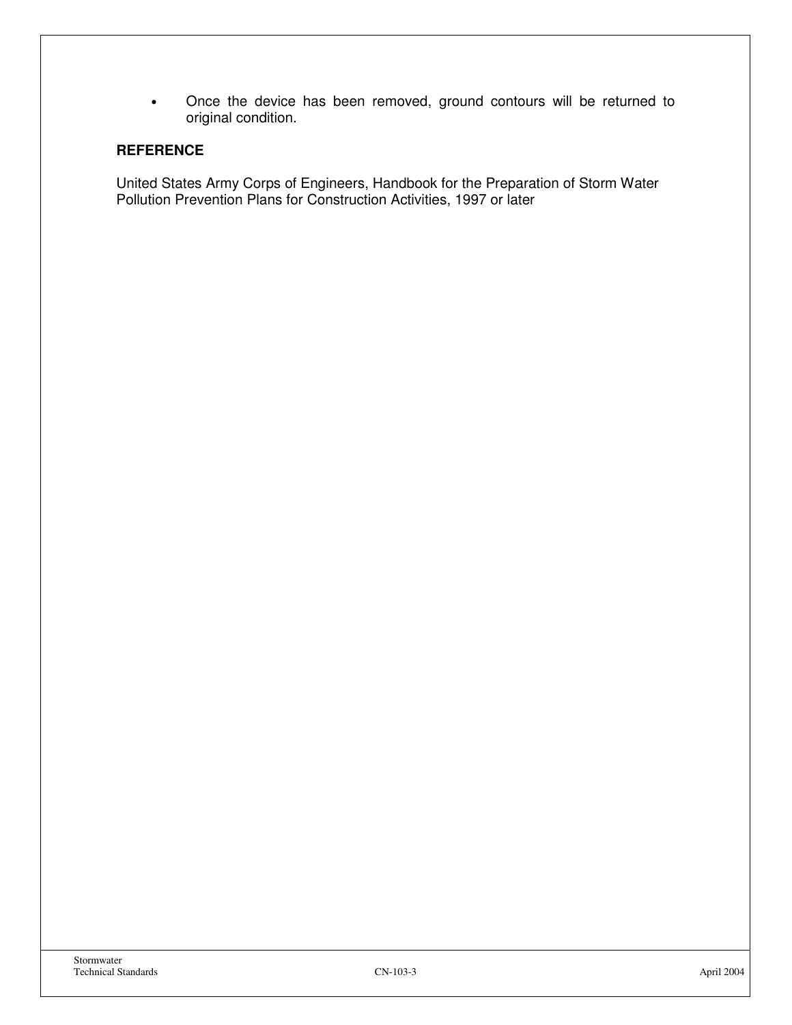• Once the device has been removed, ground contours will be returned to original condition.

#### **REFERENCE**

United States Army Corps of Engineers, Handbook for the Preparation of Storm Water Pollution Prevention Plans for Construction Activities, 1997 or later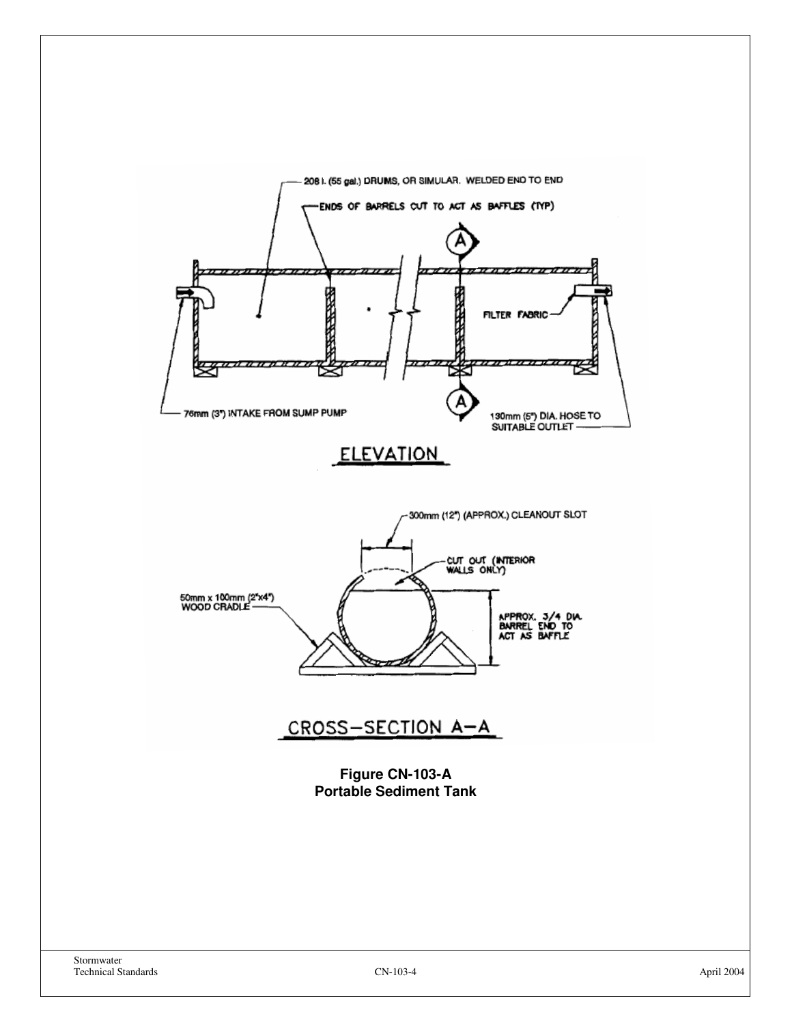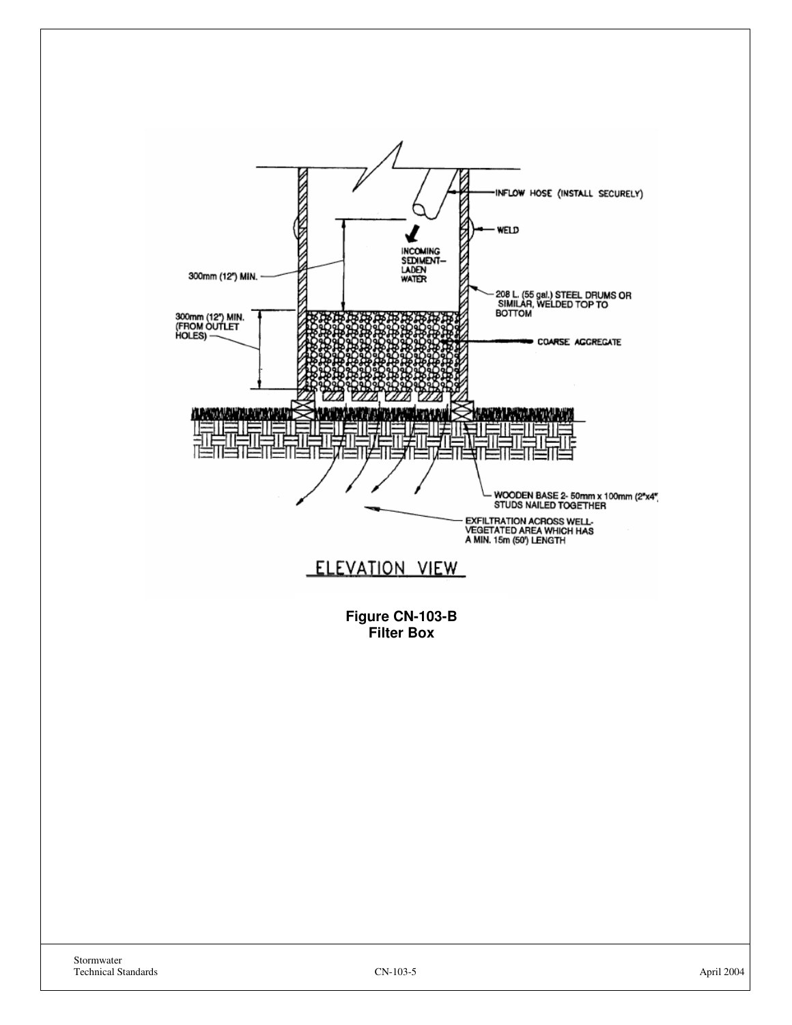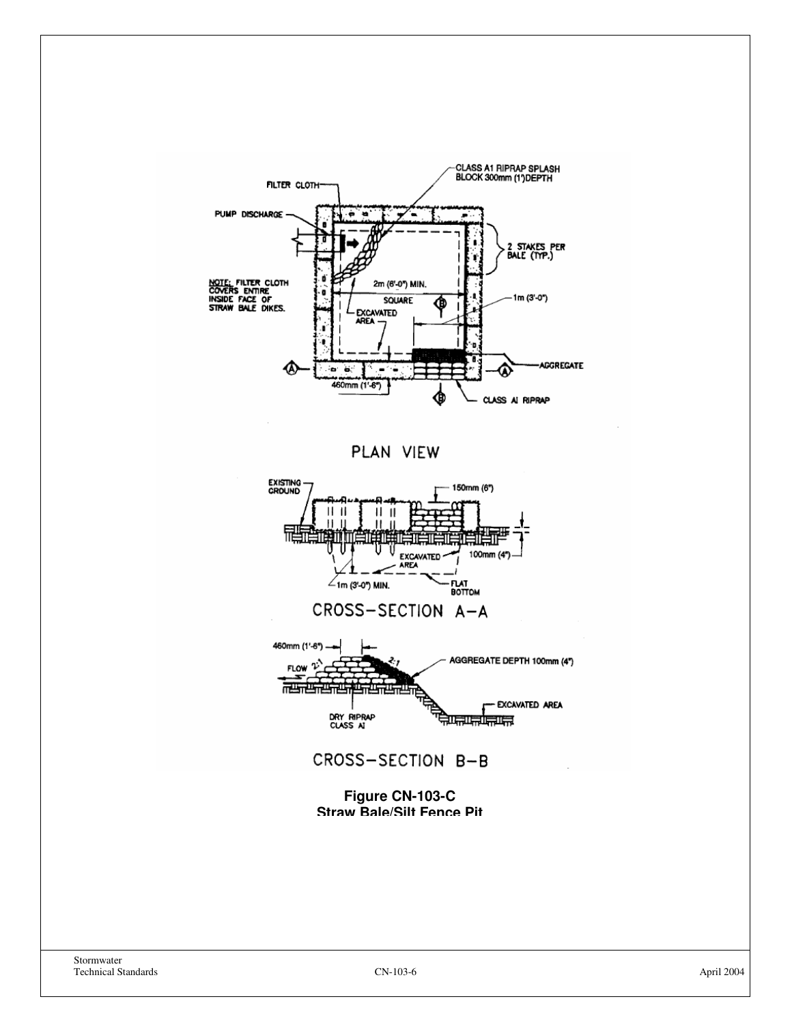







CROSS-SECTION B-B

**Figure CN-103-C Straw Bale/Silt Fence Pit**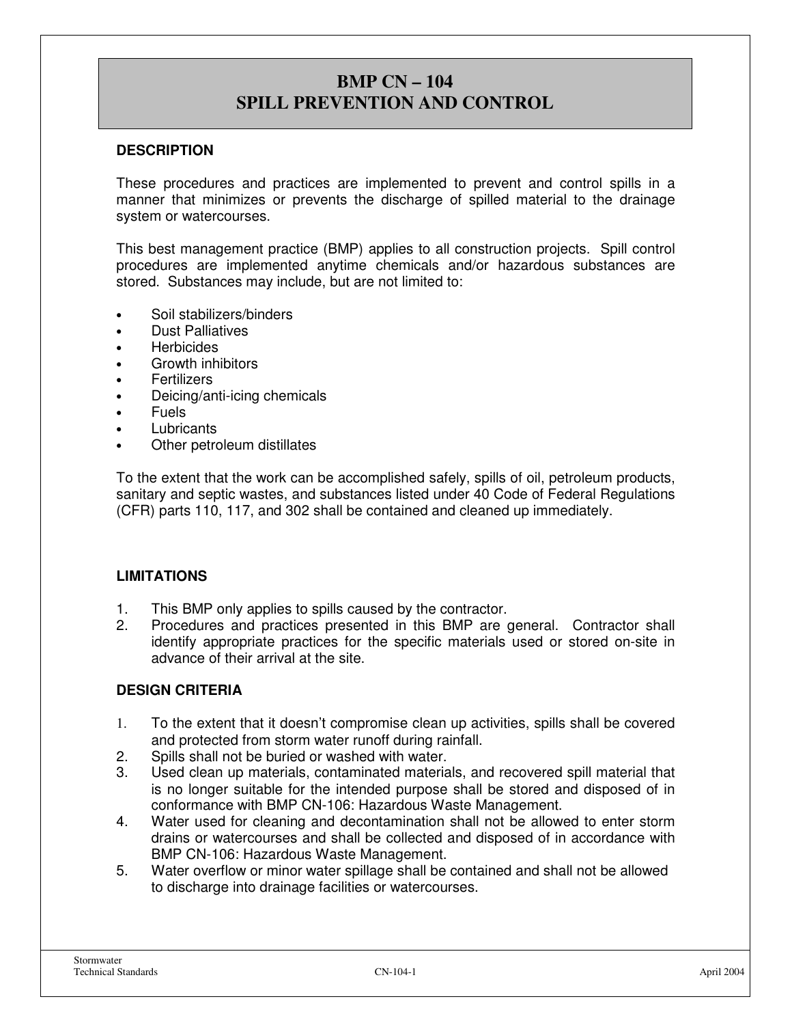# **BMP CN – 104 SPILL PREVENTION AND CONTROL**

#### **DESCRIPTION**

These procedures and practices are implemented to prevent and control spills in a manner that minimizes or prevents the discharge of spilled material to the drainage system or watercourses.

This best management practice (BMP) applies to all construction projects. Spill control procedures are implemented anytime chemicals and/or hazardous substances are stored. Substances may include, but are not limited to:

- Soil stabilizers/binders
- Dust Palliatives
- **Herbicides**
- Growth inhibitors
- **Fertilizers**
- Deicing/anti-icing chemicals
- Fuels
- Lubricants
- Other petroleum distillates

To the extent that the work can be accomplished safely, spills of oil, petroleum products, sanitary and septic wastes, and substances listed under 40 Code of Federal Regulations (CFR) parts 110, 117, and 302 shall be contained and cleaned up immediately.

#### **LIMITATIONS**

- 1. This BMP only applies to spills caused by the contractor.
- 2. Procedures and practices presented in this BMP are general. Contractor shall identify appropriate practices for the specific materials used or stored on-site in advance of their arrival at the site.

#### **DESIGN CRITERIA**

- 1. To the extent that it doesn't compromise clean up activities, spills shall be covered and protected from storm water runoff during rainfall.
- 2. Spills shall not be buried or washed with water.
- 3. Used clean up materials, contaminated materials, and recovered spill material that is no longer suitable for the intended purpose shall be stored and disposed of in conformance with BMP CN-106: Hazardous Waste Management.
- 4. Water used for cleaning and decontamination shall not be allowed to enter storm drains or watercourses and shall be collected and disposed of in accordance with BMP CN-106: Hazardous Waste Management.
- 5. Water overflow or minor water spillage shall be contained and shall not be allowed to discharge into drainage facilities or watercourses.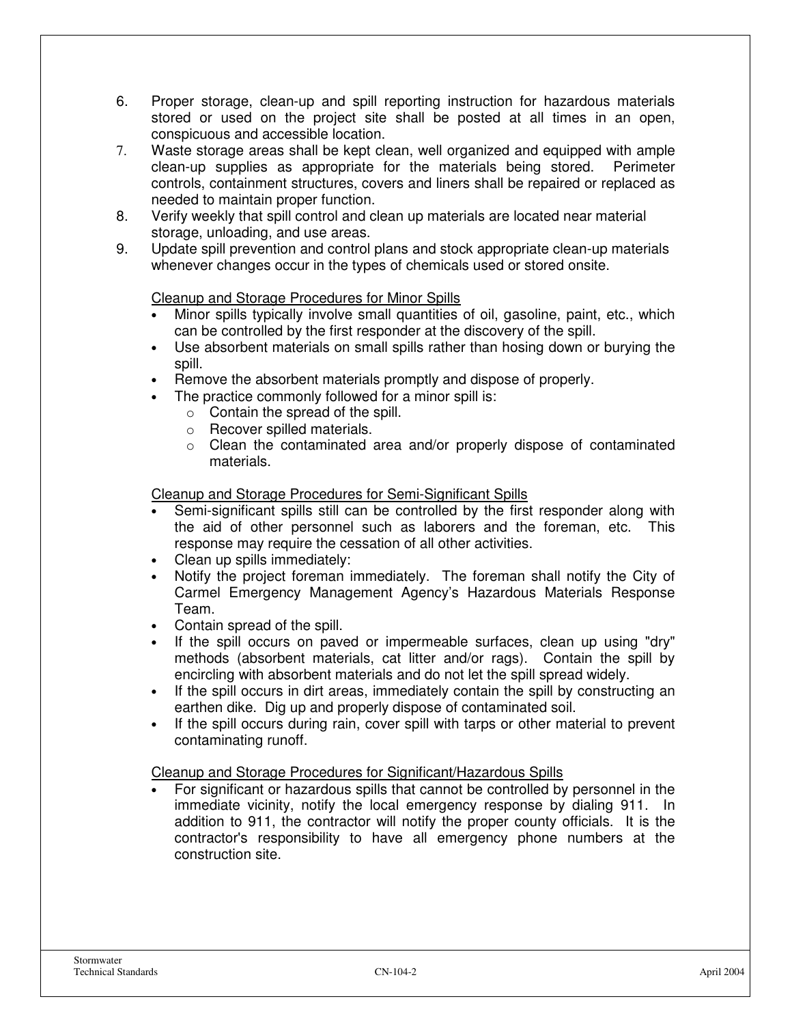- 6. Proper storage, clean-up and spill reporting instruction for hazardous materials stored or used on the project site shall be posted at all times in an open, conspicuous and accessible location.
- 7. Waste storage areas shall be kept clean, well organized and equipped with ample clean-up supplies as appropriate for the materials being stored. Perimeter controls, containment structures, covers and liners shall be repaired or replaced as needed to maintain proper function.
- 8. Verify weekly that spill control and clean up materials are located near material storage, unloading, and use areas.
- 9. Update spill prevention and control plans and stock appropriate clean-up materials whenever changes occur in the types of chemicals used or stored onsite.

#### Cleanup and Storage Procedures for Minor Spills

- Minor spills typically involve small quantities of oil, gasoline, paint, etc., which can be controlled by the first responder at the discovery of the spill.
- Use absorbent materials on small spills rather than hosing down or burying the spill.
- Remove the absorbent materials promptly and dispose of properly.
- The practice commonly followed for a minor spill is:
	- $\circ$  Contain the spread of the spill.
	- o Recover spilled materials.
	- $\circ$  Clean the contaminated area and/or properly dispose of contaminated materials.

#### Cleanup and Storage Procedures for Semi-Significant Spills

- Semi-significant spills still can be controlled by the first responder along with the aid of other personnel such as laborers and the foreman, etc. This response may require the cessation of all other activities.
- Clean up spills immediately:
- Notify the project foreman immediately. The foreman shall notify the City of Carmel Emergency Management Agency's Hazardous Materials Response Team.
- Contain spread of the spill.
- If the spill occurs on paved or impermeable surfaces, clean up using "dry" methods (absorbent materials, cat litter and/or rags). Contain the spill by encircling with absorbent materials and do not let the spill spread widely.
- If the spill occurs in dirt areas, immediately contain the spill by constructing an earthen dike. Dig up and properly dispose of contaminated soil.
- If the spill occurs during rain, cover spill with tarps or other material to prevent contaminating runoff.

#### Cleanup and Storage Procedures for Significant/Hazardous Spills

• For significant or hazardous spills that cannot be controlled by personnel in the immediate vicinity, notify the local emergency response by dialing 911. In addition to 911, the contractor will notify the proper county officials. It is the contractor's responsibility to have all emergency phone numbers at the construction site.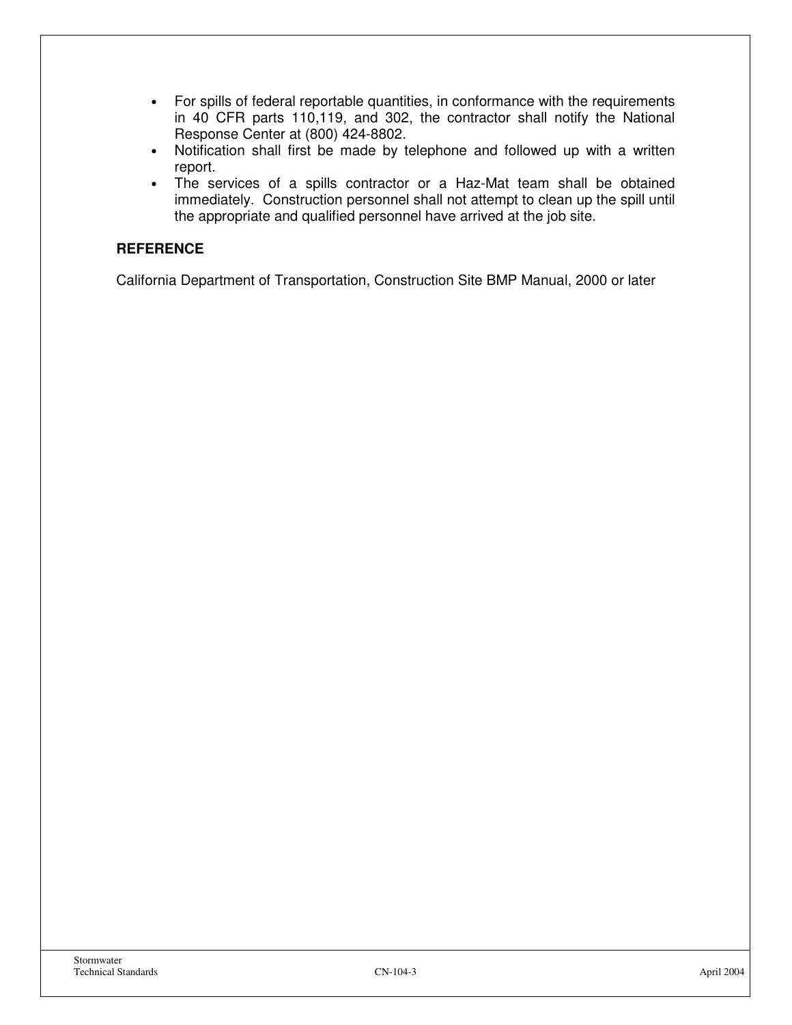- For spills of federal reportable quantities, in conformance with the requirements in 40 CFR parts 110,119, and 302, the contractor shall notify the National Response Center at (800) 424-8802.
- Notification shall first be made by telephone and followed up with a written report.
- The services of a spills contractor or a Haz-Mat team shall be obtained immediately. Construction personnel shall not attempt to clean up the spill until the appropriate and qualified personnel have arrived at the job site.

#### **REFERENCE**

California Department of Transportation, Construction Site BMP Manual, 2000 or later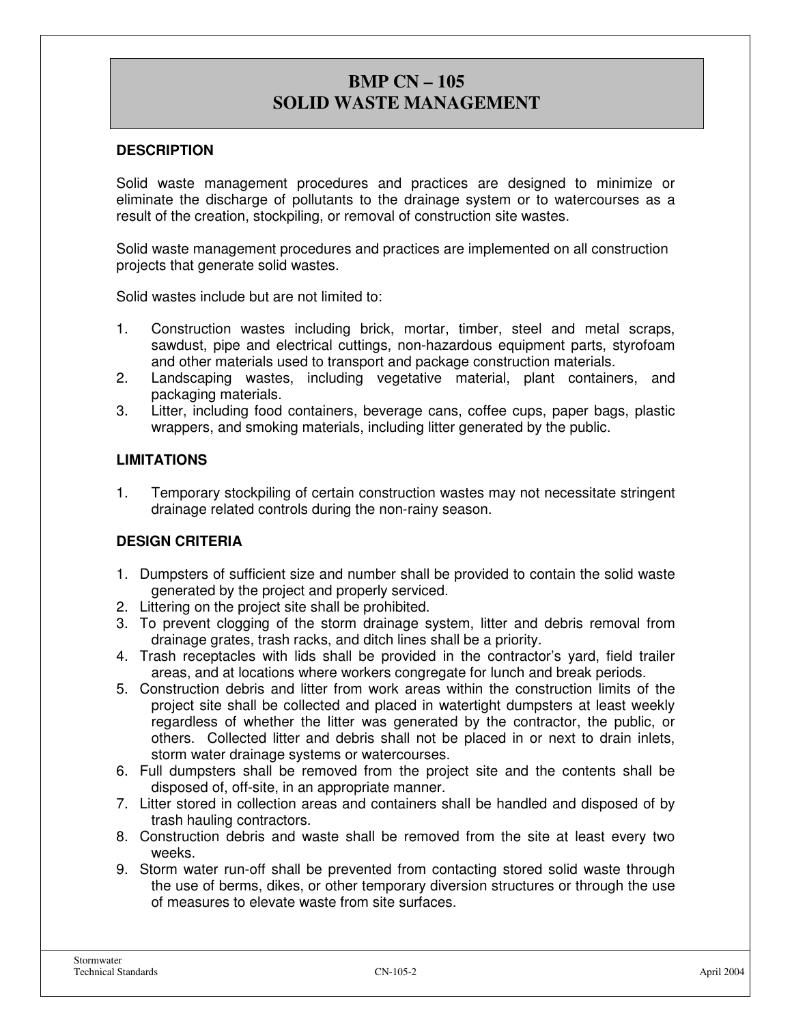# **BMP CN – 105 SOLID WASTE MANAGEMENT**

#### **DESCRIPTION**

Solid waste management procedures and practices are designed to minimize or eliminate the discharge of pollutants to the drainage system or to watercourses as a result of the creation, stockpiling, or removal of construction site wastes.

Solid waste management procedures and practices are implemented on all construction projects that generate solid wastes.

Solid wastes include but are not limited to:

- 1. Construction wastes including brick, mortar, timber, steel and metal scraps, sawdust, pipe and electrical cuttings, non-hazardous equipment parts, styrofoam and other materials used to transport and package construction materials.
- 2. Landscaping wastes, including vegetative material, plant containers, and packaging materials.
- 3. Litter, including food containers, beverage cans, coffee cups, paper bags, plastic wrappers, and smoking materials, including litter generated by the public.

#### **LIMITATIONS**

1. Temporary stockpiling of certain construction wastes may not necessitate stringent drainage related controls during the non-rainy season.

#### **DESIGN CRITERIA**

- 1. Dumpsters of sufficient size and number shall be provided to contain the solid waste generated by the project and properly serviced.
- 2. Littering on the project site shall be prohibited.
- 3. To prevent clogging of the storm drainage system, litter and debris removal from drainage grates, trash racks, and ditch lines shall be a priority.
- 4. Trash receptacles with lids shall be provided in the contractor's yard, field trailer areas, and at locations where workers congregate for lunch and break periods.
- 5. Construction debris and litter from work areas within the construction limits of the project site shall be collected and placed in watertight dumpsters at least weekly regardless of whether the litter was generated by the contractor, the public, or others. Collected litter and debris shall not be placed in or next to drain inlets, storm water drainage systems or watercourses.
- 6. Full dumpsters shall be removed from the project site and the contents shall be disposed of, off-site, in an appropriate manner.
- 7. Litter stored in collection areas and containers shall be handled and disposed of by trash hauling contractors.
- 8. Construction debris and waste shall be removed from the site at least every two weeks.
- 9. Storm water run-off shall be prevented from contacting stored solid waste through the use of berms, dikes, or other temporary diversion structures or through the use of measures to elevate waste from site surfaces.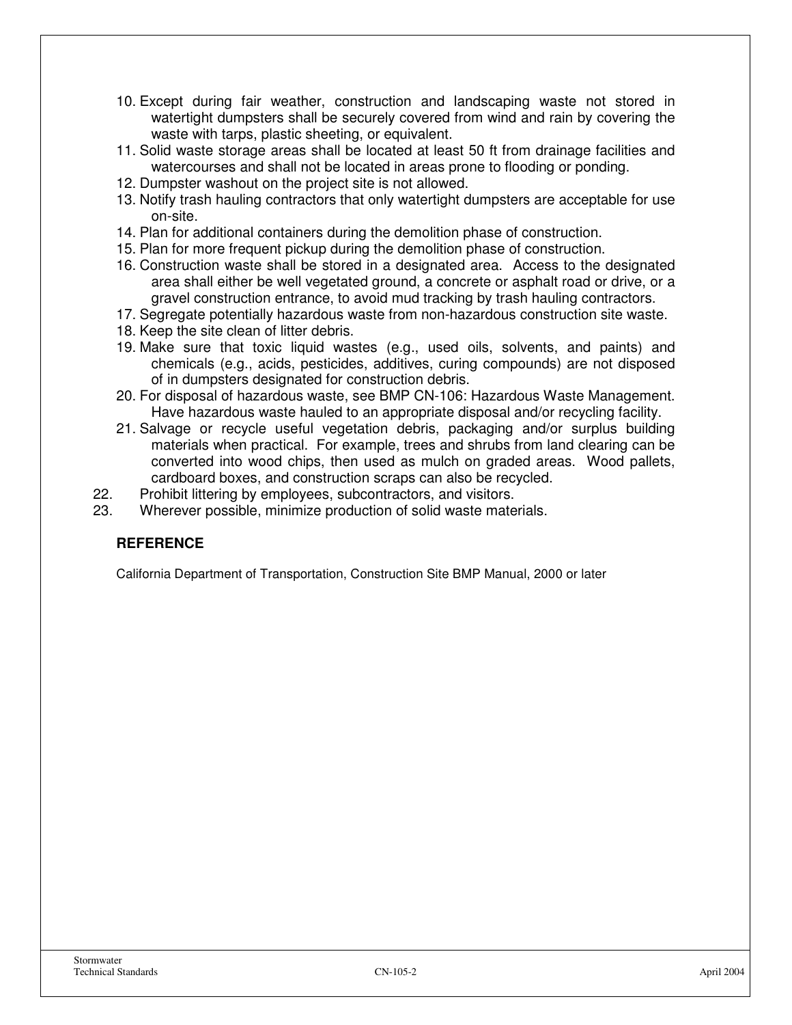- 10. Except during fair weather, construction and landscaping waste not stored in watertight dumpsters shall be securely covered from wind and rain by covering the waste with tarps, plastic sheeting, or equivalent.
- 11. Solid waste storage areas shall be located at least 50 ft from drainage facilities and watercourses and shall not be located in areas prone to flooding or ponding.
- 12. Dumpster washout on the project site is not allowed.
- 13. Notify trash hauling contractors that only watertight dumpsters are acceptable for use on-site.
- 14. Plan for additional containers during the demolition phase of construction.
- 15. Plan for more frequent pickup during the demolition phase of construction.
- 16. Construction waste shall be stored in a designated area. Access to the designated area shall either be well vegetated ground, a concrete or asphalt road or drive, or a gravel construction entrance, to avoid mud tracking by trash hauling contractors.
- 17. Segregate potentially hazardous waste from non-hazardous construction site waste.
- 18. Keep the site clean of litter debris.
- 19. Make sure that toxic liquid wastes (e.g., used oils, solvents, and paints) and chemicals (e.g., acids, pesticides, additives, curing compounds) are not disposed of in dumpsters designated for construction debris.
- 20. For disposal of hazardous waste, see BMP CN-106: Hazardous Waste Management. Have hazardous waste hauled to an appropriate disposal and/or recycling facility.
- 21. Salvage or recycle useful vegetation debris, packaging and/or surplus building materials when practical. For example, trees and shrubs from land clearing can be converted into wood chips, then used as mulch on graded areas. Wood pallets, cardboard boxes, and construction scraps can also be recycled.
- 22. Prohibit littering by employees, subcontractors, and visitors.
- 23. Wherever possible, minimize production of solid waste materials.

#### **REFERENCE**

California Department of Transportation, Construction Site BMP Manual, 2000 or later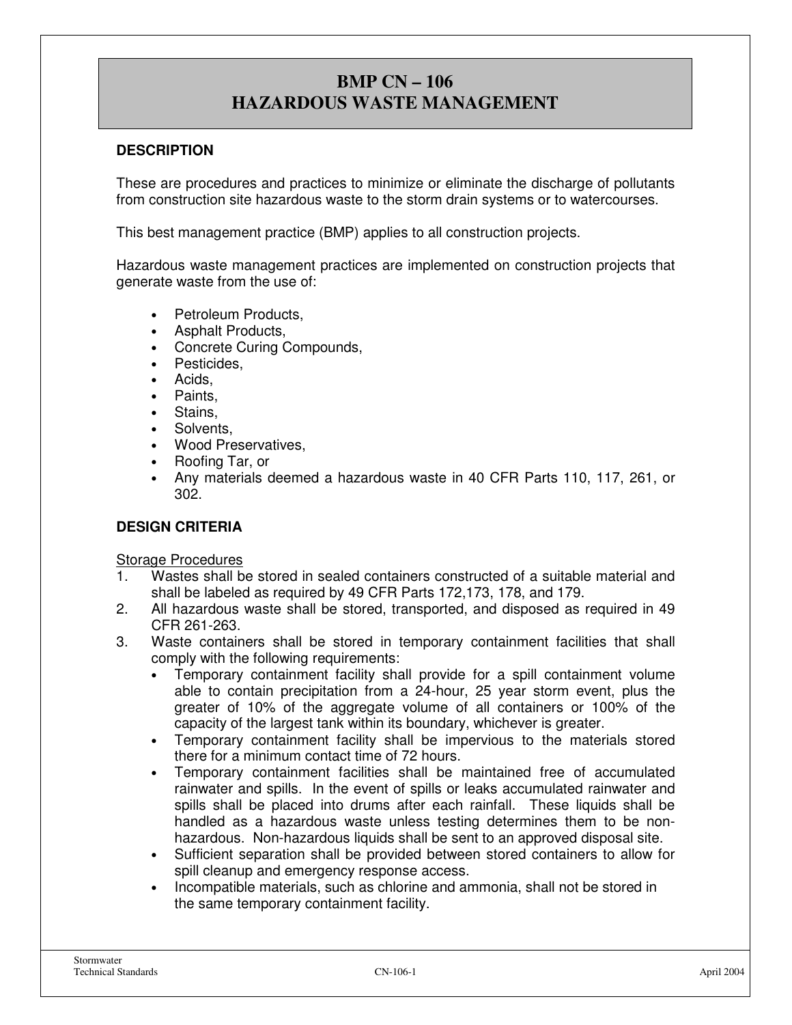# **BMP CN – 106 HAZARDOUS WASTE MANAGEMENT**

#### **DESCRIPTION**

These are procedures and practices to minimize or eliminate the discharge of pollutants from construction site hazardous waste to the storm drain systems or to watercourses.

This best management practice (BMP) applies to all construction projects.

Hazardous waste management practices are implemented on construction projects that generate waste from the use of:

- Petroleum Products.
- Asphalt Products,
- Concrete Curing Compounds,
- Pesticides,
- Acids.
- Paints.
- Stains.
- Solvents.
- Wood Preservatives,
- Roofing Tar, or
- Any materials deemed a hazardous waste in 40 CFR Parts 110, 117, 261, or 302.

#### **DESIGN CRITERIA**

#### Storage Procedures

- 1. Wastes shall be stored in sealed containers constructed of a suitable material and shall be labeled as required by 49 CFR Parts 172,173, 178, and 179.
- 2. All hazardous waste shall be stored, transported, and disposed as required in 49 CFR 261-263.
- 3. Waste containers shall be stored in temporary containment facilities that shall comply with the following requirements:
	- Temporary containment facility shall provide for a spill containment volume able to contain precipitation from a 24-hour, 25 year storm event, plus the greater of 10% of the aggregate volume of all containers or 100% of the capacity of the largest tank within its boundary, whichever is greater.
	- Temporary containment facility shall be impervious to the materials stored there for a minimum contact time of 72 hours.
	- Temporary containment facilities shall be maintained free of accumulated rainwater and spills. In the event of spills or leaks accumulated rainwater and spills shall be placed into drums after each rainfall. These liquids shall be handled as a hazardous waste unless testing determines them to be nonhazardous. Non-hazardous liquids shall be sent to an approved disposal site.
	- Sufficient separation shall be provided between stored containers to allow for spill cleanup and emergency response access.
	- Incompatible materials, such as chlorine and ammonia, shall not be stored in the same temporary containment facility.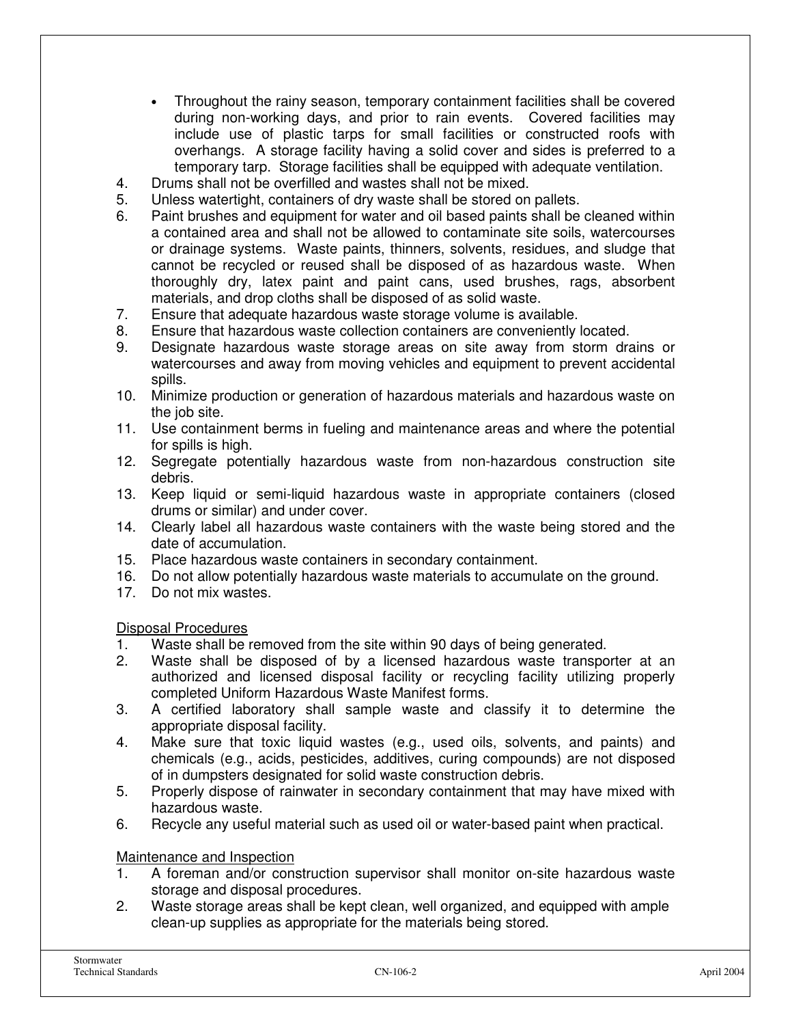- Throughout the rainy season, temporary containment facilities shall be covered during non-working days, and prior to rain events. Covered facilities may include use of plastic tarps for small facilities or constructed roofs with overhangs. A storage facility having a solid cover and sides is preferred to a temporary tarp. Storage facilities shall be equipped with adequate ventilation.
- 4. Drums shall not be overfilled and wastes shall not be mixed.
- 5. Unless watertight, containers of dry waste shall be stored on pallets.
- 6. Paint brushes and equipment for water and oil based paints shall be cleaned within a contained area and shall not be allowed to contaminate site soils, watercourses or drainage systems. Waste paints, thinners, solvents, residues, and sludge that cannot be recycled or reused shall be disposed of as hazardous waste. When thoroughly dry, latex paint and paint cans, used brushes, rags, absorbent materials, and drop cloths shall be disposed of as solid waste.
- 7. Ensure that adequate hazardous waste storage volume is available.
- 8. Ensure that hazardous waste collection containers are conveniently located.
- 9. Designate hazardous waste storage areas on site away from storm drains or watercourses and away from moving vehicles and equipment to prevent accidental spills.
- 10. Minimize production or generation of hazardous materials and hazardous waste on the job site.
- 11. Use containment berms in fueling and maintenance areas and where the potential for spills is high.
- 12. Segregate potentially hazardous waste from non-hazardous construction site debris.
- 13. Keep liquid or semi-liquid hazardous waste in appropriate containers (closed drums or similar) and under cover.
- 14. Clearly label all hazardous waste containers with the waste being stored and the date of accumulation.
- 15. Place hazardous waste containers in secondary containment.
- 16. Do not allow potentially hazardous waste materials to accumulate on the ground.
- 17. Do not mix wastes.

Disposal Procedures

- 1. Waste shall be removed from the site within 90 days of being generated.
- 2. Waste shall be disposed of by a licensed hazardous waste transporter at an authorized and licensed disposal facility or recycling facility utilizing properly completed Uniform Hazardous Waste Manifest forms.
- 3. A certified laboratory shall sample waste and classify it to determine the appropriate disposal facility.
- 4. Make sure that toxic liquid wastes (e.g., used oils, solvents, and paints) and chemicals (e.g., acids, pesticides, additives, curing compounds) are not disposed of in dumpsters designated for solid waste construction debris.
- 5. Properly dispose of rainwater in secondary containment that may have mixed with hazardous waste.
- 6. Recycle any useful material such as used oil or water-based paint when practical.

#### Maintenance and Inspection

- 1. A foreman and/or construction supervisor shall monitor on-site hazardous waste storage and disposal procedures.
- 2. Waste storage areas shall be kept clean, well organized, and equipped with ample clean-up supplies as appropriate for the materials being stored.